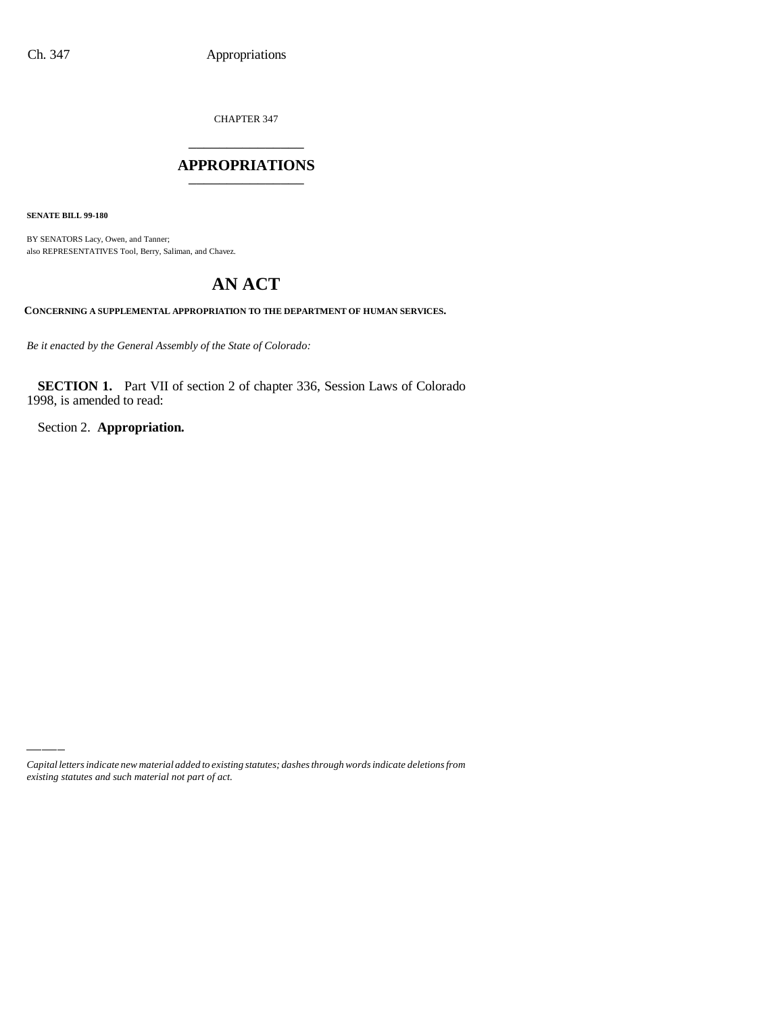CHAPTER 347 \_\_\_\_\_\_\_\_\_\_\_\_\_\_\_

### **APPROPRIATIONS** \_\_\_\_\_\_\_\_\_\_\_\_\_\_\_

**SENATE BILL 99-180**

BY SENATORS Lacy, Owen, and Tanner; also REPRESENTATIVES Tool, Berry, Saliman, and Chavez.

# **AN ACT**

**CONCERNING A SUPPLEMENTAL APPROPRIATION TO THE DEPARTMENT OF HUMAN SERVICES.**

*Be it enacted by the General Assembly of the State of Colorado:*

**SECTION 1.** Part VII of section 2 of chapter 336, Session Laws of Colorado 1998, is amended to read:

Section 2. **Appropriation.**

*Capital letters indicate new material added to existing statutes; dashes through words indicate deletions from existing statutes and such material not part of act.*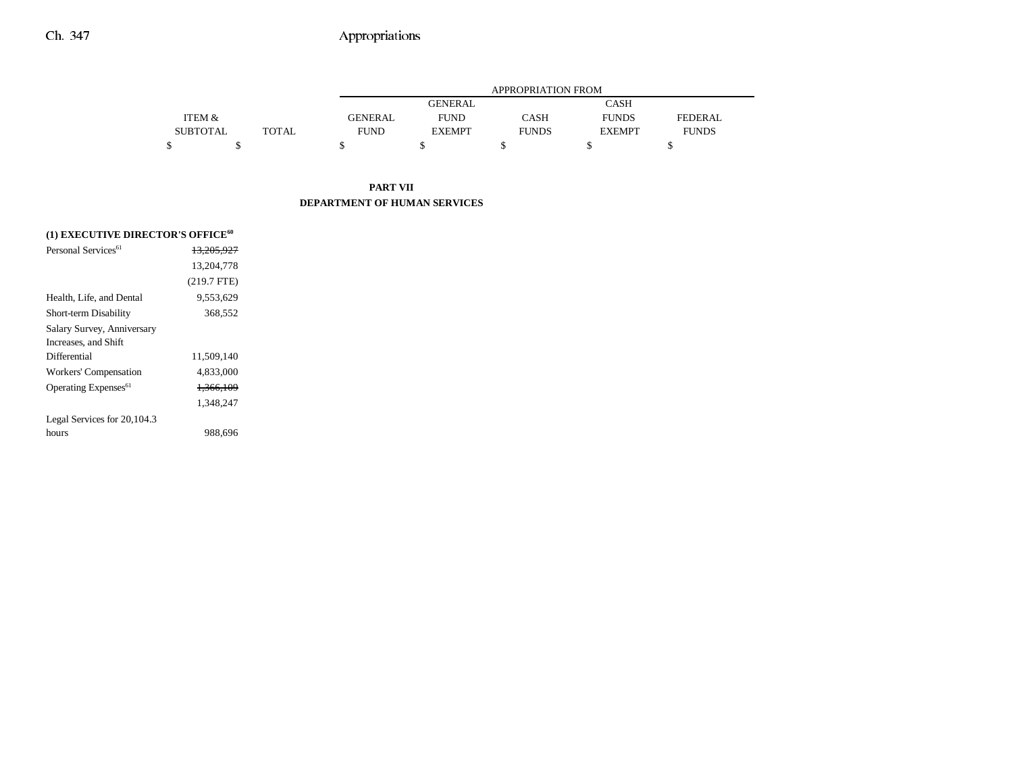|                 |              |                | <b>APPROPRIATION FROM</b> |              |               |              |  |
|-----------------|--------------|----------------|---------------------------|--------------|---------------|--------------|--|
|                 |              |                | <b>GENERAL</b>            |              | CASH          |              |  |
| ITEM &          |              | <b>GENERAL</b> | <b>FUND</b>               | <b>CASH</b>  | <b>FUNDS</b>  | FEDERAL.     |  |
| <b>SUBTOTAL</b> | <b>TOTAL</b> | <b>FUND</b>    | <b>EXEMPT</b>             | <b>FUNDS</b> | <b>EXEMPT</b> | <b>FUNDS</b> |  |
|                 |              |                |                           |              |               |              |  |

### **PART VII DEPARTMENT OF HUMAN SERVICES**

| (1) EXECUTIVE DIRECTOR'S OFFICE <sup>60</sup> |                       |  |  |  |  |  |
|-----------------------------------------------|-----------------------|--|--|--|--|--|
| Personal Services <sup>61</sup>               | <del>13.205.927</del> |  |  |  |  |  |
|                                               | 13.204.778            |  |  |  |  |  |
|                                               | $(219.7$ FTE)         |  |  |  |  |  |
| Health, Life, and Dental                      | 9.553.629             |  |  |  |  |  |
| <b>Short-term Disability</b>                  | 368,552               |  |  |  |  |  |
| Salary Survey, Anniversary                    |                       |  |  |  |  |  |
| Increases, and Shift                          |                       |  |  |  |  |  |
| Differential                                  | 11.509.140            |  |  |  |  |  |
| Workers' Compensation                         | 4,833,000             |  |  |  |  |  |
| Operating Expenses <sup>61</sup>              | <del>1.366.109</del>  |  |  |  |  |  |
|                                               | 1.348.247             |  |  |  |  |  |
| Legal Services for 20,104.3                   |                       |  |  |  |  |  |
| hours                                         | 988.696               |  |  |  |  |  |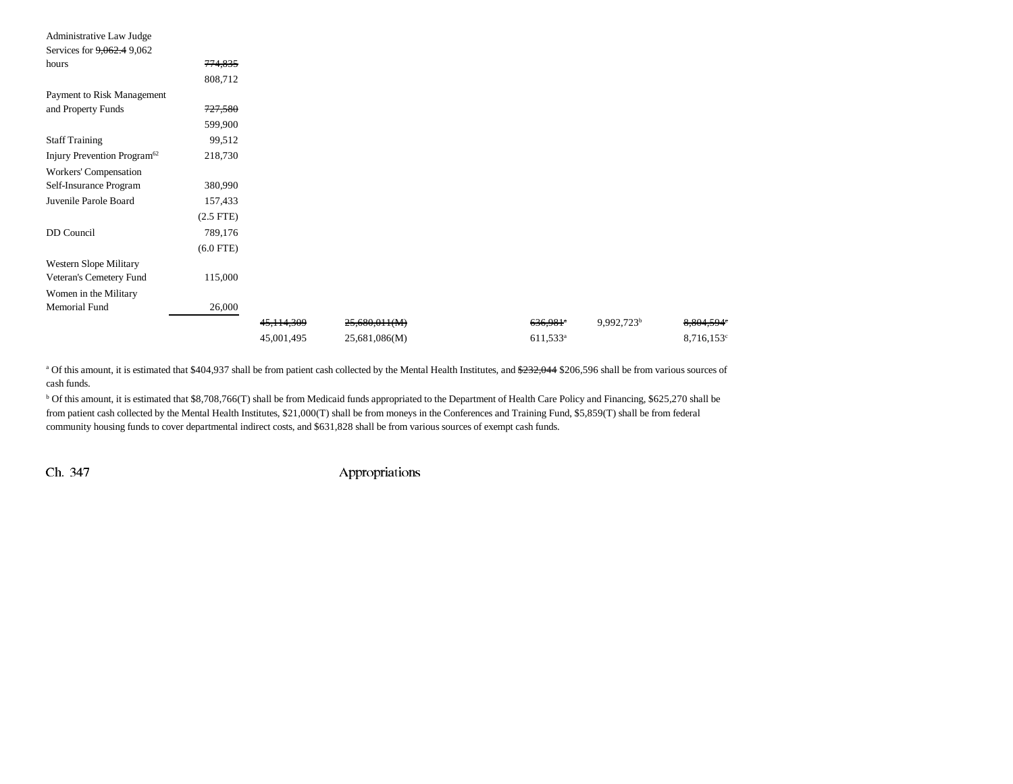| Administrative Law Judge                |                |            |               |                        |                        |                     |
|-----------------------------------------|----------------|------------|---------------|------------------------|------------------------|---------------------|
| Services for 9,062.4 9,062              |                |            |               |                        |                        |                     |
| hours                                   | 774,835        |            |               |                        |                        |                     |
|                                         | 808,712        |            |               |                        |                        |                     |
| Payment to Risk Management              |                |            |               |                        |                        |                     |
| and Property Funds                      | 727,580        |            |               |                        |                        |                     |
|                                         | 599,900        |            |               |                        |                        |                     |
| <b>Staff Training</b>                   | 99,512         |            |               |                        |                        |                     |
| Injury Prevention Program <sup>62</sup> | 218,730        |            |               |                        |                        |                     |
| Workers' Compensation                   |                |            |               |                        |                        |                     |
| Self-Insurance Program                  | 380,990        |            |               |                        |                        |                     |
| Juvenile Parole Board                   | 157,433        |            |               |                        |                        |                     |
|                                         | $(2.5$ FTE $)$ |            |               |                        |                        |                     |
| DD Council                              | 789,176        |            |               |                        |                        |                     |
|                                         | $(6.0$ FTE)    |            |               |                        |                        |                     |
| Western Slope Military                  |                |            |               |                        |                        |                     |
| Veteran's Cemetery Fund                 | 115,000        |            |               |                        |                        |                     |
| Women in the Military                   |                |            |               |                        |                        |                     |
| Memorial Fund                           | 26,000         |            |               |                        |                        |                     |
|                                         |                | 45,114,309 | 25,680,011(M) | $636,981$ <sup>*</sup> | 9,992,723 <sup>b</sup> | 8,804,594°          |
|                                         |                | 45,001,495 | 25,681,086(M) | $611,533^a$            |                        | $8,716,153^{\circ}$ |

<sup>a</sup> Of this amount, it is estimated that \$404,937 shall be from patient cash collected by the Mental Health Institutes, and \$232,044 \$206,596 shall be from various sources of cash funds.

<sup>b</sup> Of this amount, it is estimated that \$8,708,766(T) shall be from Medicaid funds appropriated to the Department of Health Care Policy and Financing, \$625,270 shall be from patient cash collected by the Mental Health Institutes, \$21,000(T) shall be from moneys in the Conferences and Training Fund, \$5,859(T) shall be from federal community housing funds to cover departmental indirect costs, and \$631,828 shall be from various sources of exempt cash funds.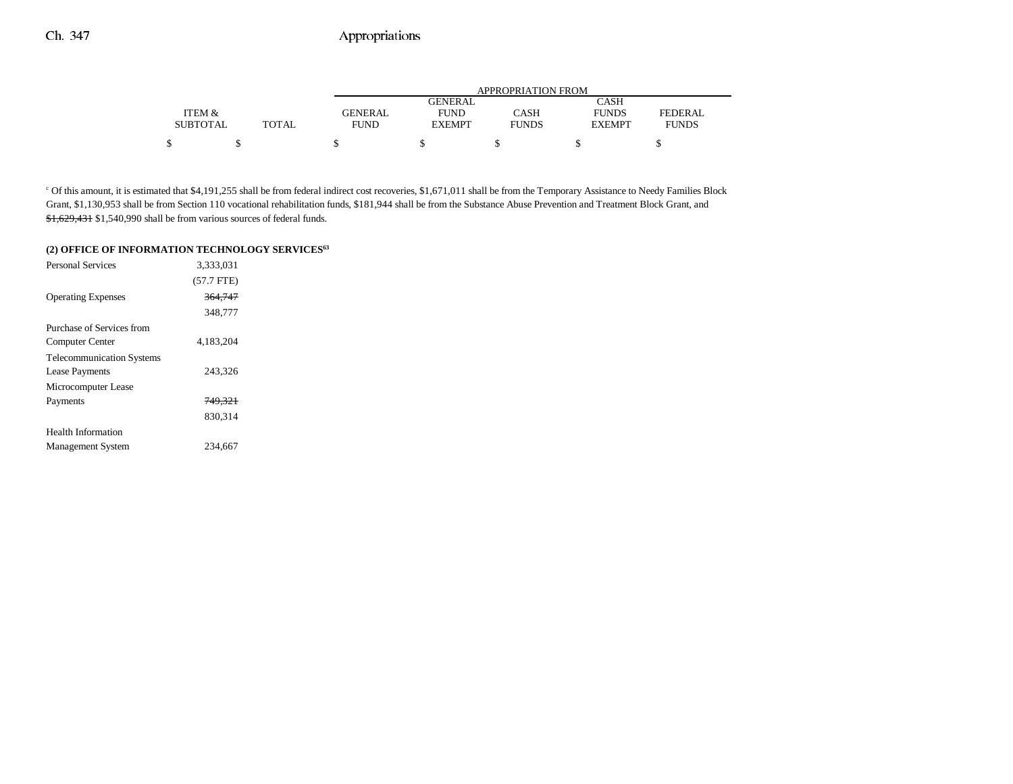|                 |       | APPROPRIATION FROM |               |              |               |              |
|-----------------|-------|--------------------|---------------|--------------|---------------|--------------|
|                 |       |                    | GENERAL       |              | CASH          |              |
| ITEM &          |       | <b>GENERAL</b>     | <b>FUND</b>   | CASH         | <b>FUNDS</b>  | FEDERAL      |
| <b>SUBTOTAL</b> | TOTAL | <b>FUND</b>        | <b>EXEMPT</b> | <b>FUNDS</b> | <b>EXEMPT</b> | <b>FUNDS</b> |
| \$              |       |                    |               |              |               |              |

<sup>c</sup> Of this amount, it is estimated that \$4,191,255 shall be from federal indirect cost recoveries, \$1,671,011 shall be from the Temporary Assistance to Needy Families Block Grant, \$1,130,953 shall be from Section 110 vocational rehabilitation funds, \$181,944 shall be from the Substance Abuse Prevention and Treatment Block Grant, and \$1,629,431 \$1,540,990 shall be from various sources of federal funds.

#### **(2) OFFICE OF INFORMATION TECHNOLOGY SERVICES63**

| <b>Personal Services</b>         | 3.333.031    |  |
|----------------------------------|--------------|--|
|                                  | $(57.7$ FTE) |  |
| <b>Operating Expenses</b>        | 364,747      |  |
|                                  | 348,777      |  |
| Purchase of Services from        |              |  |
| Computer Center                  | 4.183,204    |  |
| <b>Telecommunication Systems</b> |              |  |
| <b>Lease Payments</b>            | 243,326      |  |
| Microcomputer Lease              |              |  |
| Payments                         | 749,321      |  |
|                                  | 830.314      |  |
| Health Information               |              |  |
| <b>Management System</b>         | 234.667      |  |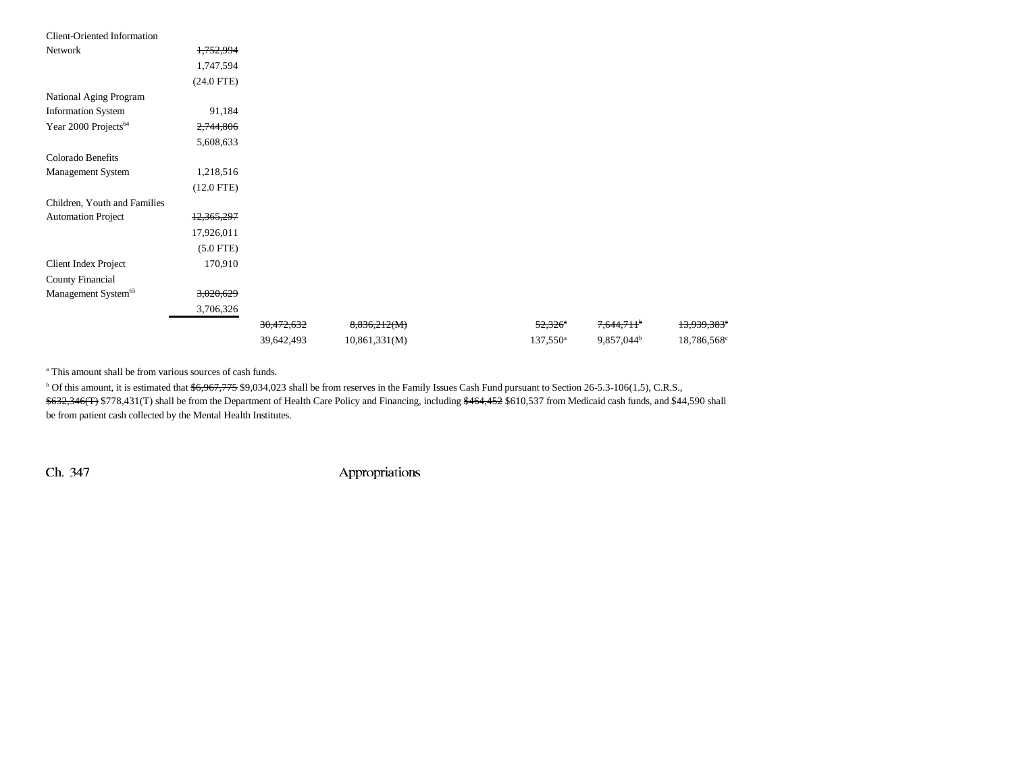| <b>Client-Oriented Information</b> |              |            |               |                       |                        |                         |
|------------------------------------|--------------|------------|---------------|-----------------------|------------------------|-------------------------|
| Network                            | 1,752,994    |            |               |                       |                        |                         |
|                                    | 1,747,594    |            |               |                       |                        |                         |
|                                    | $(24.0$ FTE) |            |               |                       |                        |                         |
| National Aging Program             |              |            |               |                       |                        |                         |
| <b>Information System</b>          | 91,184       |            |               |                       |                        |                         |
| Year 2000 Projects <sup>64</sup>   | 2,744,806    |            |               |                       |                        |                         |
|                                    | 5,608,633    |            |               |                       |                        |                         |
| Colorado Benefits                  |              |            |               |                       |                        |                         |
| Management System                  | 1,218,516    |            |               |                       |                        |                         |
|                                    | $(12.0$ FTE) |            |               |                       |                        |                         |
| Children, Youth and Families       |              |            |               |                       |                        |                         |
| <b>Automation Project</b>          | 12,365,297   |            |               |                       |                        |                         |
|                                    | 17,926,011   |            |               |                       |                        |                         |
|                                    | $(5.0$ FTE)  |            |               |                       |                        |                         |
| Client Index Project               | 170,910      |            |               |                       |                        |                         |
| County Financial                   |              |            |               |                       |                        |                         |
| Management System <sup>65</sup>    | 3,020,629    |            |               |                       |                        |                         |
|                                    | 3,706,326    |            |               |                       |                        |                         |
|                                    |              | 30,472,632 | 8,836,212(M)  | $52,326$ <sup>*</sup> | 7,644,711 <sup>b</sup> | 13,939,383 <sup>e</sup> |
|                                    |              | 39,642,493 | 10,861,331(M) | $137,550^{\circ}$     | 9,857,044 <sup>b</sup> | 18,786,568°             |

a This amount shall be from various sources of cash funds.

<sup>b</sup> Of this amount, it is estimated that \$6,967,775 \$9,034,023 shall be from reserves in the Family Issues Cash Fund pursuant to Section 26-5.3-106(1.5), C.R.S., \$632,346(T) \$778,431(T) shall be from the Department of Health Care Policy and Financing, including \$464,452 \$610,537 from Medicaid cash funds, and \$44,590 shall be from patient cash collected by the Mental Health Institutes.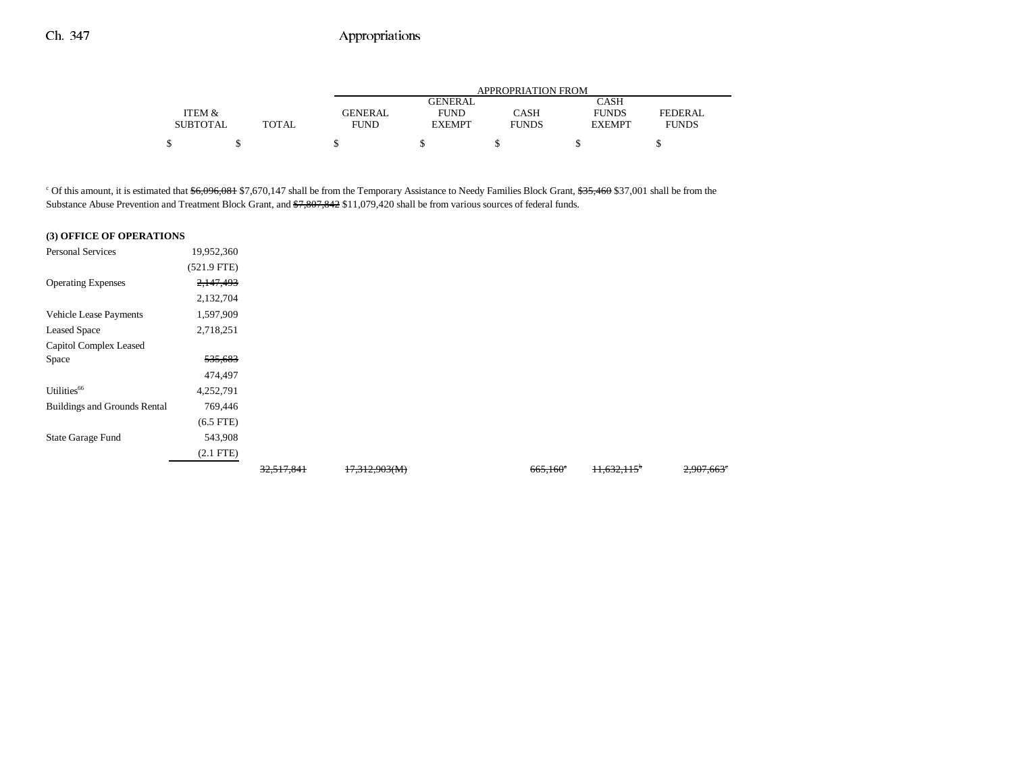|                 |              |                | APPROPRIATION FROM |              |               |                |  |  |
|-----------------|--------------|----------------|--------------------|--------------|---------------|----------------|--|--|
|                 |              |                | GENERAL            |              | CASH          |                |  |  |
| ITEM &          |              | <b>GENERAL</b> | <b>FUND</b>        | CASH         | <b>FUNDS</b>  | <b>FEDERAL</b> |  |  |
| <b>SUBTOTAL</b> | <b>TOTAL</b> | <b>FUND</b>    | <b>EXEMPT</b>      | <b>FUNDS</b> | <b>EXEMPT</b> | <b>FUNDS</b>   |  |  |
|                 |              |                |                    |              |               |                |  |  |
|                 |              |                |                    |              |               |                |  |  |

<sup>c</sup> Of this amount, it is estimated that  $$6,096,081$  \$7,670,147 shall be from the Temporary Assistance to Needy Families Block Grant, \$35,460 \$37,001 shall be from the Substance Abuse Prevention and Treatment Block Grant, and \$7,807,842 \$11,079,420 shall be from various sources of federal funds.

#### **(3) OFFICE OF OPERATIONS**

| <b>Personal Services</b>            | 19,952,360         |            |               |                        |                           |            |
|-------------------------------------|--------------------|------------|---------------|------------------------|---------------------------|------------|
|                                     | $(521.9$ FTE)      |            |               |                        |                           |            |
| <b>Operating Expenses</b>           | 2,147,493          |            |               |                        |                           |            |
|                                     | 2,132,704          |            |               |                        |                           |            |
| Vehicle Lease Payments              | 1,597,909          |            |               |                        |                           |            |
| <b>Leased Space</b>                 | 2,718,251          |            |               |                        |                           |            |
| Capitol Complex Leased              |                    |            |               |                        |                           |            |
| Space                               | <del>535,683</del> |            |               |                        |                           |            |
|                                     | 474,497            |            |               |                        |                           |            |
| Utilities <sup>66</sup>             | 4,252,791          |            |               |                        |                           |            |
| <b>Buildings and Grounds Rental</b> | 769,446            |            |               |                        |                           |            |
|                                     | $(6.5$ FTE $)$     |            |               |                        |                           |            |
| State Garage Fund                   | 543,908            |            |               |                        |                           |            |
|                                     | $(2.1$ FTE)        |            |               |                        |                           |            |
|                                     |                    | 32,517,841 | 17,312,903(M) | $665,160$ <sup>*</sup> | $11,632,115$ <sup>*</sup> | 2,907,663° |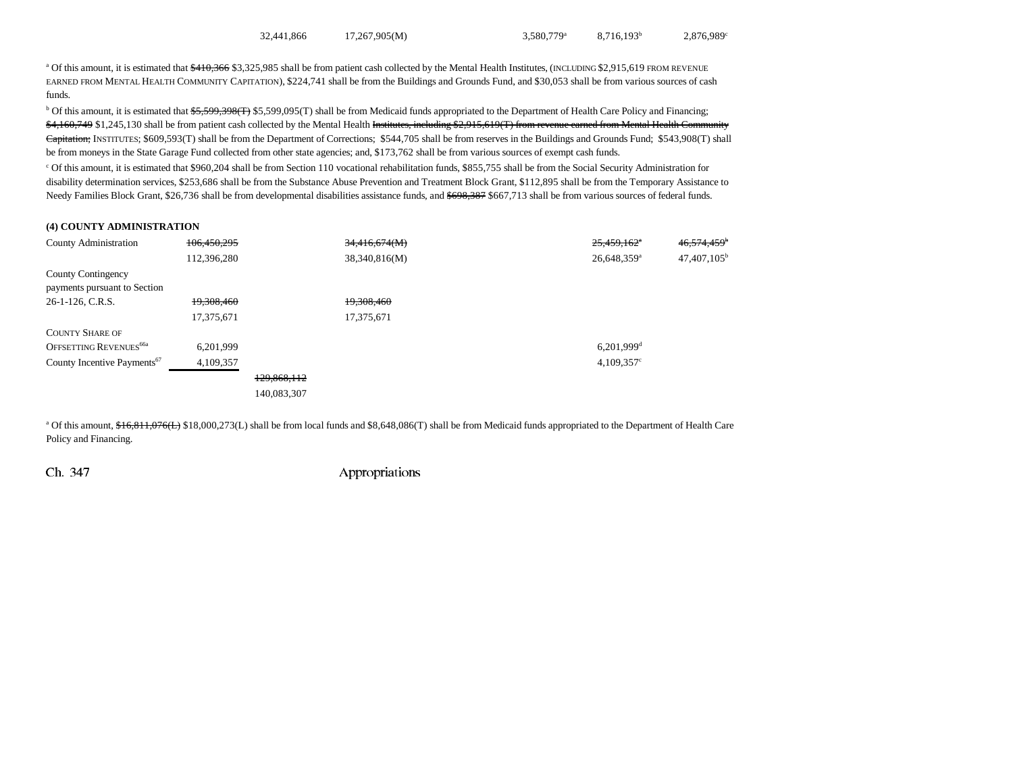$32,441,866$   $17,267,905(M)$   $3,580,779$   $8,716,193$ <sup>b</sup>  $2,876,989$ <sup>c</sup>

<sup>a</sup> Of this amount, it is estimated that  $\frac{410,366}{93,325,985}$  shall be from patient cash collected by the Mental Health Institutes, (INCLUDING \$2,915,619 FROM REVENUE EARNED FROM MENTAL HEALTH COMMUNITY CAPITATION), \$224,741 shall be from the Buildings and Grounds Fund, and \$30,053 shall be from various sources of cash funds.

 $b$  Of this amount, it is estimated that  $\frac{65}{5}$ 59,398(T) \$5,599,095(T) shall be from Medicaid funds appropriated to the Department of Health Care Policy and Financing; \$4,160,749 \$1,245,130 shall be from patient cash collected by the Mental Health Institutes, including \$2,915,619(T) from revenue earned from Mental Health Community Capitation; INSTITUTES; \$609,593(T) shall be from the Department of Corrections; \$544,705 shall be from reserves in the Buildings and Grounds Fund; \$543,908(T) shall be from moneys in the State Garage Fund collected from other state agencies; and, \$173,762 shall be from various sources of exempt cash funds.

c Of this amount, it is estimated that \$960,204 shall be from Section 110 vocational rehabilitation funds, \$855,755 shall be from the Social Security Administration for disability determination services, \$253,686 shall be from the Substance Abuse Prevention and Treatment Block Grant, \$112,895 shall be from the Temporary Assistance to Needy Families Block Grant, \$26,736 shall be from developmental disabilities assistance funds, and \$698,387 \$667,713 shall be from various sources of federal funds.

#### **(4) COUNTY ADMINISTRATION**

| <b>County Administration</b>            | 106,450,295 |             | 34,416,674(M) | $25,459,162$ <sup>*</sup> | 46, 574, 459 <sup>b</sup> |
|-----------------------------------------|-------------|-------------|---------------|---------------------------|---------------------------|
|                                         | 112,396,280 |             | 38,340,816(M) | $26,648,359$ <sup>a</sup> | 47,407,105 <sup>b</sup>   |
| County Contingency                      |             |             |               |                           |                           |
| payments pursuant to Section            |             |             |               |                           |                           |
| 26-1-126, C.R.S.                        | 19,308,460  |             | 19,308,460    |                           |                           |
|                                         | 17,375,671  |             | 17,375,671    |                           |                           |
| <b>COUNTY SHARE OF</b>                  |             |             |               |                           |                           |
| OFFSETTING REVENUES <sup>66a</sup>      | 6.201.999   |             |               | $6,201,999$ <sup>d</sup>  |                           |
| County Incentive Payments <sup>67</sup> | 4,109,357   |             |               | $4,109,357$ °             |                           |
|                                         |             | 129,868,112 |               |                           |                           |
|                                         |             | 140,083,307 |               |                           |                           |

<sup>a</sup> Of this amount, \$16,811,076(L) \$18,000,273(L) shall be from local funds and \$8,648,086(T) shall be from Medicaid funds appropriated to the Department of Health Care Policy and Financing.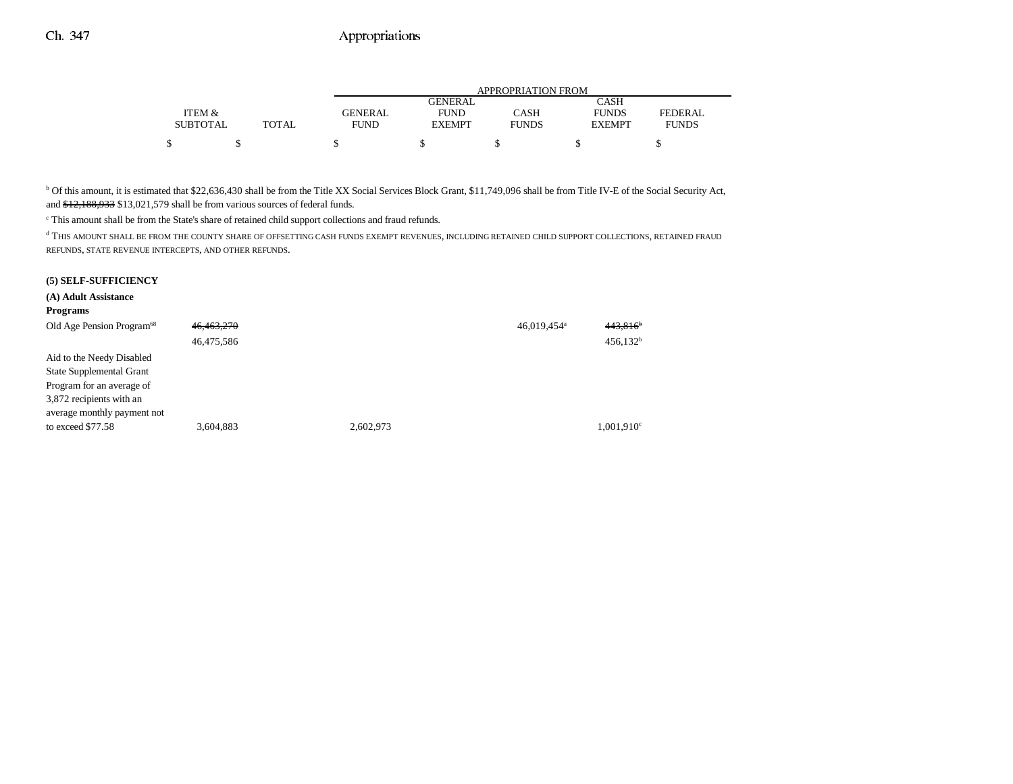|                 |              |         | APPROPRIATION FROM |              |               |              |  |  |
|-----------------|--------------|---------|--------------------|--------------|---------------|--------------|--|--|
|                 |              |         | GENERAL.           |              | CASH          |              |  |  |
| ITEM &          |              | GENERAL | <b>FUND</b>        | CASH         | <b>FUNDS</b>  | FEDERAL      |  |  |
| <b>SUBTOTAL</b> | <b>TOTAL</b> | FUND    | <b>EXEMPT</b>      | <b>FUNDS</b> | <b>EXEMPT</b> | <b>FUNDS</b> |  |  |
|                 |              |         |                    |              |               |              |  |  |

<sup>b</sup> Of this amount, it is estimated that \$22,636,430 shall be from the Title XX Social Services Block Grant, \$11,749,096 shall be from Title IV-E of the Social Security Act, and \$12,188,933 \$13,021,579 shall be from various sources of federal funds.

c This amount shall be from the State's share of retained child support collections and fraud refunds.

 $^{\rm d}$  THIS AMOUNT SHALL BE FROM THE COUNTY SHARE OF OFFSETTING CASH FUNDS EXEMPT REVENUES, INCLUDING RETAINED CHILD SUPPORT COLLECTIONS, RETAINED FRAUD REFUNDS, STATE REVENUE INTERCEPTS, AND OTHER REFUNDS.

#### **(5) SELF-SUFFICIENCY**

| (A) Adult Assistance                  |            |           |                         |                        |
|---------------------------------------|------------|-----------|-------------------------|------------------------|
| <b>Programs</b>                       |            |           |                         |                        |
| Old Age Pension Program <sup>68</sup> | 46,463,270 |           | 46,019,454 <sup>a</sup> | 443,816'               |
|                                       | 46,475,586 |           |                         | $456,132$ <sup>t</sup> |
| Aid to the Needy Disabled             |            |           |                         |                        |
| <b>State Supplemental Grant</b>       |            |           |                         |                        |
| Program for an average of             |            |           |                         |                        |
| 3,872 recipients with an              |            |           |                         |                        |
| average monthly payment not           |            |           |                         |                        |
| to exceed \$77.58                     | 3,604,883  | 2,602,973 |                         | 1,001,910°             |
|                                       |            |           |                         |                        |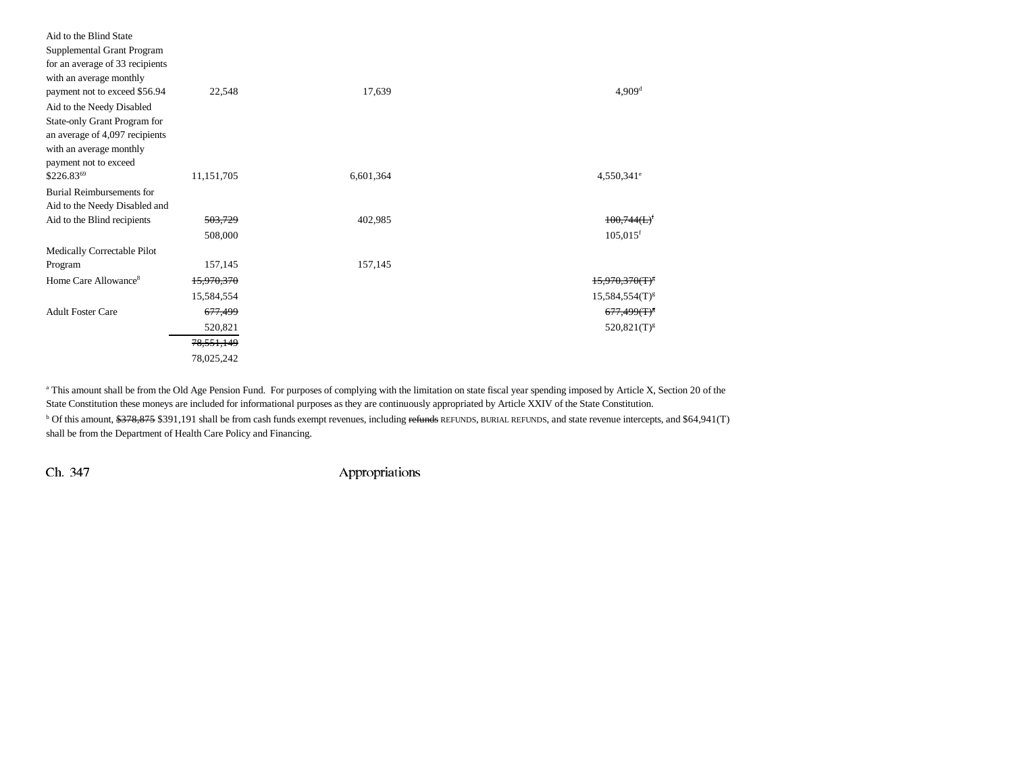| Aid to the Blind State           |                    |           |                            |
|----------------------------------|--------------------|-----------|----------------------------|
| Supplemental Grant Program       |                    |           |                            |
| for an average of 33 recipients  |                    |           |                            |
| with an average monthly          |                    |           |                            |
| payment not to exceed \$56.94    | 22,548             | 17,639    | $4,909$ <sup>d</sup>       |
| Aid to the Needy Disabled        |                    |           |                            |
| State-only Grant Program for     |                    |           |                            |
| an average of 4,097 recipients   |                    |           |                            |
| with an average monthly          |                    |           |                            |
| payment not to exceed            |                    |           |                            |
| \$226.8369                       | 11,151,705         | 6,601,364 | $4,550,341$ <sup>e</sup>   |
| <b>Burial Reimbursements for</b> |                    |           |                            |
| Aid to the Needy Disabled and    |                    |           |                            |
| Aid to the Blind recipients      | 503,729            | 402,985   | 100,744(L)                 |
|                                  | 508,000            |           | $105,015$ <sup>f</sup>     |
| Medically Correctable Pilot      |                    |           |                            |
| Program                          | 157,145            | 157,145   |                            |
| Home Care Allowance <sup>8</sup> | 15,970,370         |           | 15.970.370(T) <sup>8</sup> |
|                                  | 15,584,554         |           | $15,584,554(T)^{g}$        |
| <b>Adult Foster Care</b>         | <del>677,499</del> |           | $677,499$ (T) <sup>3</sup> |
|                                  | 520,821            |           | $520,821(T)^{g}$           |
|                                  | 78, 551, 149       |           |                            |
|                                  | 78,025,242         |           |                            |

<sup>a</sup> This amount shall be from the Old Age Pension Fund. For purposes of complying with the limitation on state fiscal year spending imposed by Article X, Section 20 of the State Constitution these moneys are included for informational purposes as they are continuously appropriated by Article XXIV of the State Constitution.

<sup>b</sup> Of this amount, \$378,875 \$391,191 shall be from cash funds exempt revenues, including refunds REFUNDS, BURIAL REFUNDS, and state revenue intercepts, and \$64,941(T) shall be from the Department of Health Care Policy and Financing.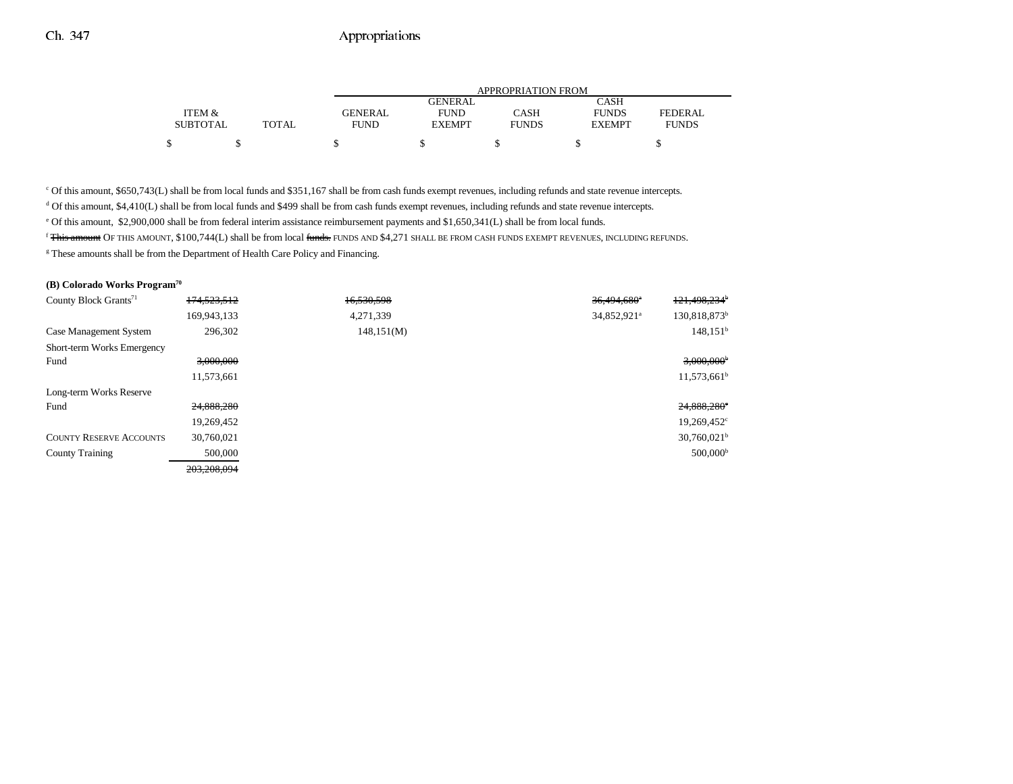|                 |              | APPROPRIATION FROM |                |              |               |              |  |
|-----------------|--------------|--------------------|----------------|--------------|---------------|--------------|--|
|                 |              |                    | <b>GENERAL</b> |              | CASH          |              |  |
| ITEM &          |              | GENERAL            | <b>FUND</b>    | CASH         | <b>FUNDS</b>  | FEDERAL      |  |
| <b>SUBTOTAL</b> | <b>TOTAL</b> | <b>FUND</b>        | <b>EXEMPT</b>  | <b>FUNDS</b> | <b>EXEMPT</b> | <b>FUNDS</b> |  |
|                 |              |                    |                |              |               |              |  |

c Of this amount, \$650,743(L) shall be from local funds and \$351,167 shall be from cash funds exempt revenues, including refunds and state revenue intercepts.

 $d$  Of this amount, \$4,410(L) shall be from local funds and \$499 shall be from cash funds exempt revenues, including refunds and state revenue intercepts.

e Of this amount, \$2,900,000 shall be from federal interim assistance reimbursement payments and \$1,650,341(L) shall be from local funds.

<sup>f</sup> This amount OF THIS AMOUNT, \$100,744(L) shall be from local funds. FUNDS AND \$4,271 SHALL BE FROM CASH FUNDS EXEMPT REVENUES, INCLUDING REFUNDS.

<sup>g</sup> These amounts shall be from the Department of Health Care Policy and Financing.

### **(B) Colorado Works Program70**

| County Block Grants <sup>71</sup> | 174,523,512 | 16,530,598 | $36.494.680$ <sup>*</sup> | 121,498,234 <sup>b</sup>  |
|-----------------------------------|-------------|------------|---------------------------|---------------------------|
|                                   | 169,943,133 | 4,271,339  | 34,852,921 <sup>a</sup>   | 130,818,873 <sup>b</sup>  |
| Case Management System            | 296,302     | 148,151(M) |                           | $148,151^b$               |
| <b>Short-term Works Emergency</b> |             |            |                           |                           |
| Fund                              | 3,000,000   |            |                           | $3,000,000$ <sup>b</sup>  |
|                                   | 11,573,661  |            |                           | $11,573,661^b$            |
| Long-term Works Reserve           |             |            |                           |                           |
| Fund                              | 24,888,280  |            |                           | 24,888,280°               |
|                                   | 19,269,452  |            |                           | 19,269,452 <sup>c</sup>   |
| <b>COUNTY RESERVE ACCOUNTS</b>    | 30,760,021  |            |                           | $30,760,021$ <sup>b</sup> |
| <b>County Training</b>            | 500,000     |            |                           | $500,000^{\rm b}$         |
|                                   | 203,208,094 |            |                           |                           |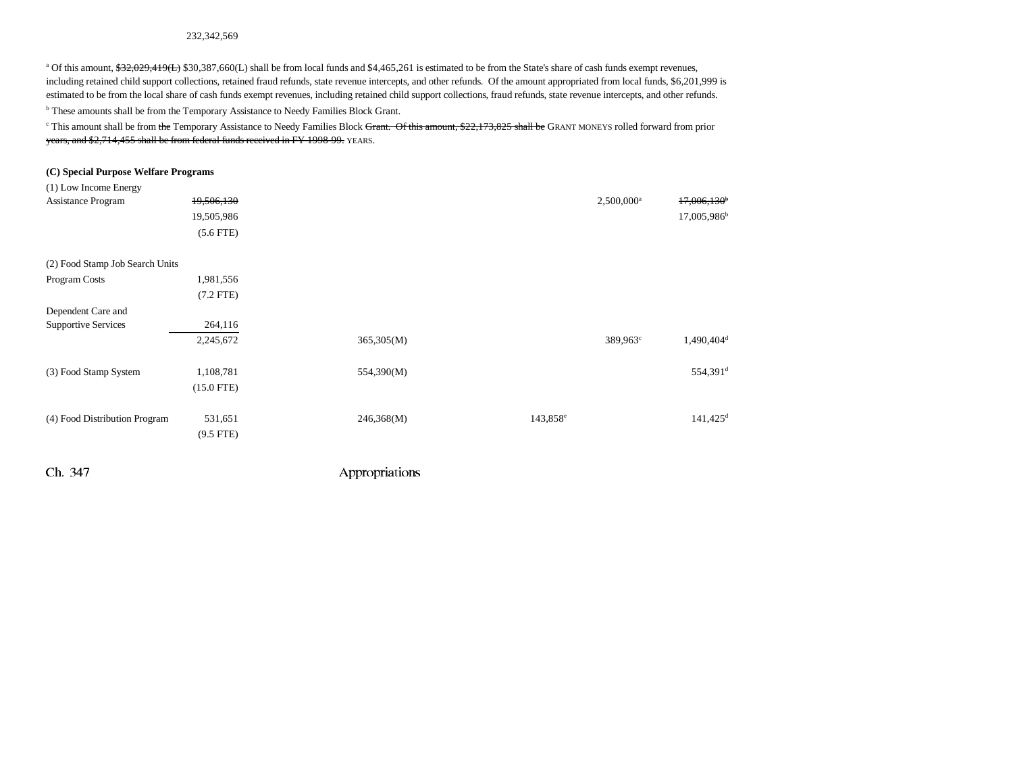#### 232,342,569

<sup>a</sup> Of this amount,  $\frac{432,029,419(1)}{2}$  \$30,387,660(L) shall be from local funds and \$4,465,261 is estimated to be from the State's share of cash funds exempt revenues, including retained child support collections, retained fraud refunds, state revenue intercepts, and other refunds. Of the amount appropriated from local funds, \$6,201,999 is estimated to be from the local share of cash funds exempt revenues, including retained child support collections, fraud refunds, state revenue intercepts, and other refunds. **b** These amounts shall be from the Temporary Assistance to Needy Families Block Grant.

<sup>c</sup> This amount shall be from the Temporary Assistance to Needy Families Block Grant. Of this amount, \$22,173,825 shall be GRANT MONEYS rolled forward from prior years, and \$2,714,455 shall be from federal funds received in FY 1998-99. YEARS.

#### **(C) Special Purpose Welfare Programs**

| (1) Low Income Energy           |                      |            |                      |                          |                           |
|---------------------------------|----------------------|------------|----------------------|--------------------------|---------------------------|
| Assistance Program              | 19,506,130           |            |                      | $2,500,000$ <sup>a</sup> | $17,006,130$ <sup>b</sup> |
|                                 | 19,505,986           |            |                      |                          | 17,005,986 <sup>b</sup>   |
|                                 | $(5.6$ FTE $)$       |            |                      |                          |                           |
| (2) Food Stamp Job Search Units |                      |            |                      |                          |                           |
| Program Costs                   | 1,981,556            |            |                      |                          |                           |
|                                 | $(7.2$ FTE)          |            |                      |                          |                           |
| Dependent Care and              |                      |            |                      |                          |                           |
| <b>Supportive Services</b>      | 264,116              |            |                      |                          |                           |
|                                 | 2,245,672            | 365,305(M) |                      | 389,963 <sup>c</sup>     | 1,490,404 <sup>d</sup>    |
|                                 |                      |            |                      |                          |                           |
| (3) Food Stamp System           | 1,108,781            | 554,390(M) |                      |                          | 554,391 <sup>d</sup>      |
|                                 | $(15.0 \text{ FTE})$ |            |                      |                          |                           |
|                                 |                      |            |                      |                          |                           |
| (4) Food Distribution Program   | 531,651              | 246,368(M) | 143,858 <sup>e</sup> |                          | $141,425$ <sup>d</sup>    |
|                                 | $(9.5$ FTE)          |            |                      |                          |                           |
|                                 |                      |            |                      |                          |                           |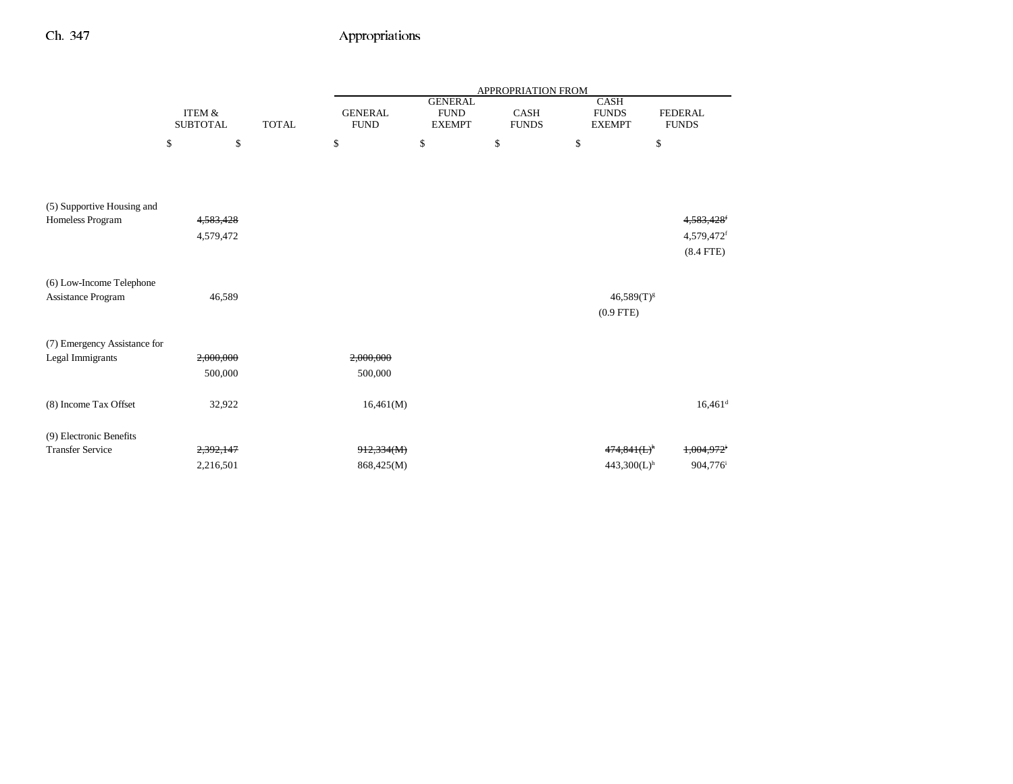|                              |                                      |              | <b>APPROPRIATION FROM</b>     |                                                |                      |                                       |                                |  |
|------------------------------|--------------------------------------|--------------|-------------------------------|------------------------------------------------|----------------------|---------------------------------------|--------------------------------|--|
|                              | <b>ITEM &amp;</b><br><b>SUBTOTAL</b> | <b>TOTAL</b> | <b>GENERAL</b><br><b>FUND</b> | <b>GENERAL</b><br><b>FUND</b><br><b>EXEMPT</b> | CASH<br><b>FUNDS</b> | CASH<br><b>FUNDS</b><br><b>EXEMPT</b> | <b>FEDERAL</b><br><b>FUNDS</b> |  |
|                              | \$<br>\$                             |              | \$                            | \$                                             | \$                   | \$                                    | \$                             |  |
|                              |                                      |              |                               |                                                |                      |                                       |                                |  |
| (5) Supportive Housing and   |                                      |              |                               |                                                |                      |                                       |                                |  |
| Homeless Program             | 4,583,428                            |              |                               |                                                |                      |                                       | 4,583,428                      |  |
|                              | 4,579,472                            |              |                               |                                                |                      |                                       | 4,579,472f                     |  |
|                              |                                      |              |                               |                                                |                      |                                       | $(8.4$ FTE)                    |  |
| (6) Low-Income Telephone     |                                      |              |                               |                                                |                      |                                       |                                |  |
| Assistance Program           | 46,589                               |              |                               |                                                |                      | $46,589(T)^{g}$                       |                                |  |
|                              |                                      |              |                               |                                                |                      | $(0.9$ FTE)                           |                                |  |
| (7) Emergency Assistance for |                                      |              |                               |                                                |                      |                                       |                                |  |
| Legal Immigrants             | 2,000,000                            |              | 2,000,000                     |                                                |                      |                                       |                                |  |
|                              | 500,000                              |              | 500,000                       |                                                |                      |                                       |                                |  |
| (8) Income Tax Offset        | 32,922                               |              | 16,461(M)                     |                                                |                      |                                       | $16,461$ <sup>d</sup>          |  |
| (9) Electronic Benefits      |                                      |              |                               |                                                |                      |                                       |                                |  |
| <b>Transfer Service</b>      | 2,392,147                            |              | 912,334(M)                    |                                                |                      | $474,841(L)^h$                        | 1,004,972                      |  |
|                              | 2,216,501                            |              | 868,425(M)                    |                                                |                      | $443,300(L)$ <sup>h</sup>             | 904,776 <sup>i</sup>           |  |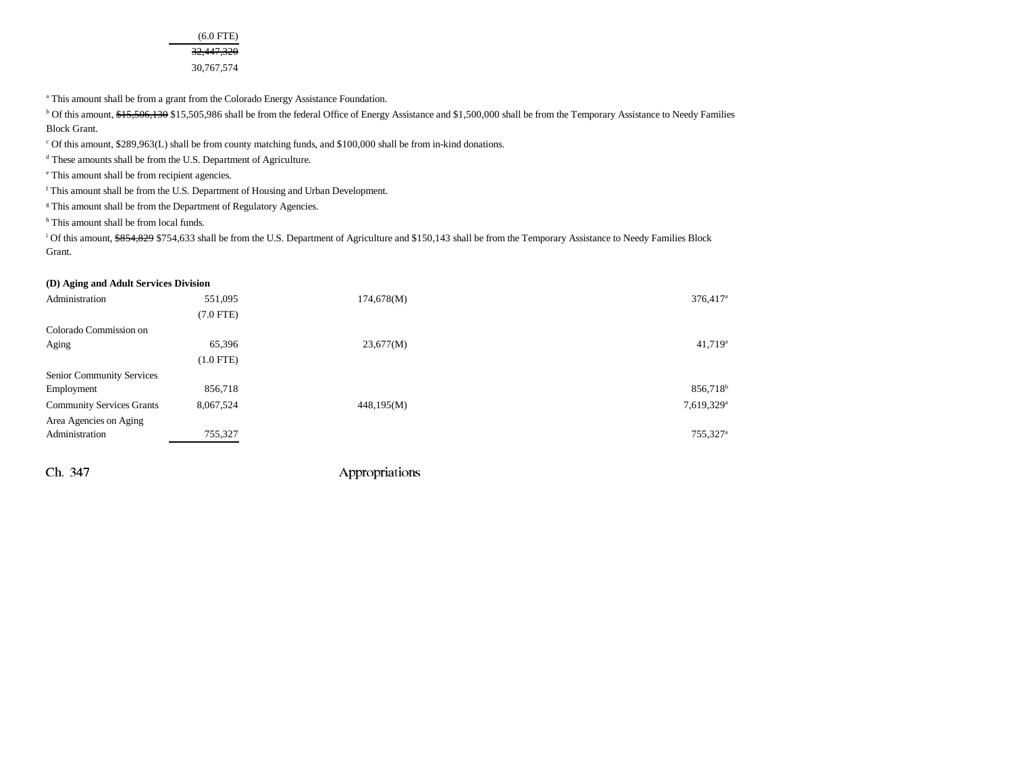(6.0 FTE) 32,447,320 30,767,574

<sup>a</sup> This amount shall be from a grant from the Colorado Energy Assistance Foundation.

<sup>b</sup> Of this amount, \$15,506,130 \$15,505,986 shall be from the federal Office of Energy Assistance and \$1,500,000 shall be from the Temporary Assistance to Needy Families Block Grant.

c Of this amount, \$289,963(L) shall be from county matching funds, and \$100,000 shall be from in-kind donations.

d These amounts shall be from the U.S. Department of Agriculture.

e This amount shall be from recipient agencies.

f This amount shall be from the U.S. Department of Housing and Urban Development.

<sup>g</sup> This amount shall be from the Department of Regulatory Agencies.

<sup>h</sup> This amount shall be from local funds.

<sup>i</sup> Of this amount, \$854,829 \$754,633 shall be from the U.S. Department of Agriculture and \$150,143 shall be from the Temporary Assistance to Needy Families Block Grant.

#### **(D) Aging and Adult Services Division**

| Administration                   | 551,095        | 174,678(M) | $376,417$ <sup>a</sup> |
|----------------------------------|----------------|------------|------------------------|
|                                  | $(7.0$ FTE $)$ |            |                        |
| Colorado Commission on           |                |            |                        |
| Aging                            | 65,396         | 23,677(M)  | $41,719^a$             |
|                                  | $(1.0$ FTE $)$ |            |                        |
| Senior Community Services        |                |            |                        |
| Employment                       | 856,718        |            | 856,718 <sup>b</sup>   |
| <b>Community Services Grants</b> | 8,067,524      | 448,195(M) | 7,619,329 <sup>a</sup> |
| Area Agencies on Aging           |                |            |                        |
| Administration                   | 755,327        |            | 755,327 <sup>a</sup>   |
|                                  |                |            |                        |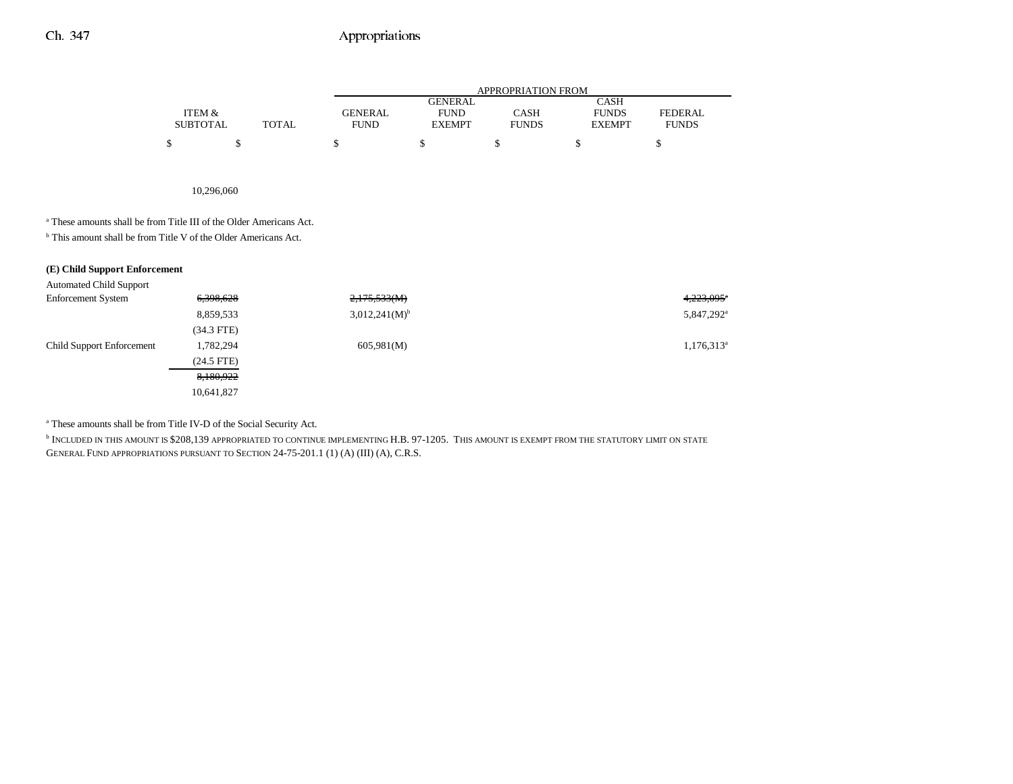|                 |       |             | APPROPRIATION FROM |              |               |                |  |  |  |
|-----------------|-------|-------------|--------------------|--------------|---------------|----------------|--|--|--|
|                 |       |             | GENERAL            |              | <b>CASH</b>   |                |  |  |  |
| ITEM &          |       | GENERAL     | <b>FUND</b>        | CASH         | <b>FUNDS</b>  | <b>FEDERAL</b> |  |  |  |
| <b>SUBTOTAL</b> | TOTAL | <b>FUND</b> | <b>EXEMPT</b>      | <b>FUNDS</b> | <b>EXEMPT</b> | <b>FUNDS</b>   |  |  |  |
|                 |       |             |                    |              |               |                |  |  |  |

10,296,060

a These amounts shall be from Title III of the Older Americans Act.

b This amount shall be from Title V of the Older Americans Act.

| (E) Child Support Enforcement |  |
|-------------------------------|--|
|-------------------------------|--|

Automated Child Support

| <b>Enforcement System</b>        | 6,398,628    | 2,175,533(M)                | 4,223,095*             |
|----------------------------------|--------------|-----------------------------|------------------------|
|                                  | 8,859,533    | $3,012,241(M)$ <sup>b</sup> | 5,847,292 <sup>a</sup> |
|                                  | $(34.3$ FTE) |                             |                        |
| <b>Child Support Enforcement</b> | 1,782,294    | 605,981(M)                  | $1,176,313^a$          |
|                                  | $(24.5$ FTE) |                             |                        |
|                                  | 8,180,922    |                             |                        |
|                                  | 10,641,827   |                             |                        |
|                                  |              |                             |                        |

a These amounts shall be from Title IV-D of the Social Security Act.

b INCLUDED IN THIS AMOUNT IS \$208,139 APPROPRIATED TO CONTINUE IMPLEMENTING H.B. 97-1205. THIS AMOUNT IS EXEMPT FROM THE STATUTORY LIMIT ON STATE GENERAL FUND APPROPRIATIONS PURSUANT TO SECTION 24-75-201.1 (1) (A) (III) (A), C.R.S.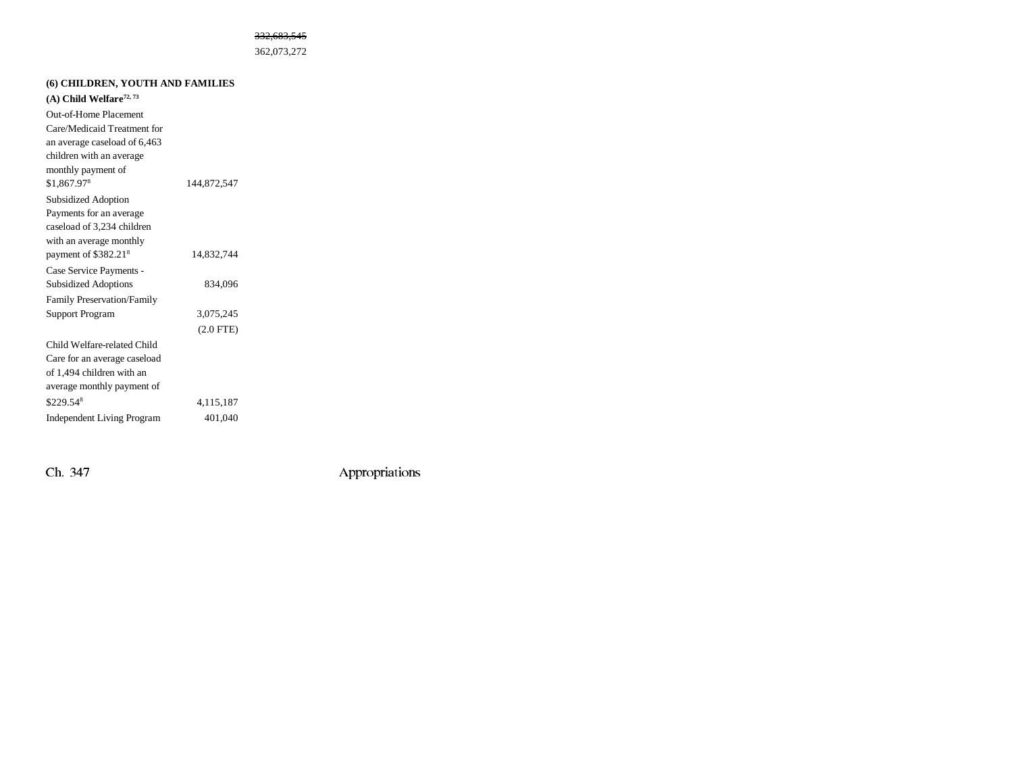#### 332,683,545

362,073,272

| (6) CHILDREN, YOUTH AND FAMILIES      |                |  |  |  |  |  |
|---------------------------------------|----------------|--|--|--|--|--|
| $(A)$ Child Welfare <sup>72, 73</sup> |                |  |  |  |  |  |
| Out-of-Home Placement                 |                |  |  |  |  |  |
| Care/Medicaid Treatment for           |                |  |  |  |  |  |
| an average caseload of 6,463          |                |  |  |  |  |  |
| children with an average              |                |  |  |  |  |  |
| monthly payment of                    |                |  |  |  |  |  |
| \$1,867.978                           | 144,872,547    |  |  |  |  |  |
| <b>Subsidized Adoption</b>            |                |  |  |  |  |  |
| Payments for an average               |                |  |  |  |  |  |
| caseload of 3,234 children            |                |  |  |  |  |  |
| with an average monthly               |                |  |  |  |  |  |
| payment of \$382.21 <sup>8</sup>      | 14,832,744     |  |  |  |  |  |
| Case Service Payments -               |                |  |  |  |  |  |
| <b>Subsidized Adoptions</b>           | 834,096        |  |  |  |  |  |
| <b>Family Preservation/Family</b>     |                |  |  |  |  |  |
| Support Program                       | 3,075,245      |  |  |  |  |  |
|                                       | $(2.0$ FTE $)$ |  |  |  |  |  |
| Child Welfare-related Child           |                |  |  |  |  |  |
| Care for an average caseload          |                |  |  |  |  |  |
| of 1,494 children with an             |                |  |  |  |  |  |
| average monthly payment of            |                |  |  |  |  |  |
| $$229.54$ <sup>8</sup>                | 4,115,187      |  |  |  |  |  |
| <b>Independent Living Program</b>     | 401,040        |  |  |  |  |  |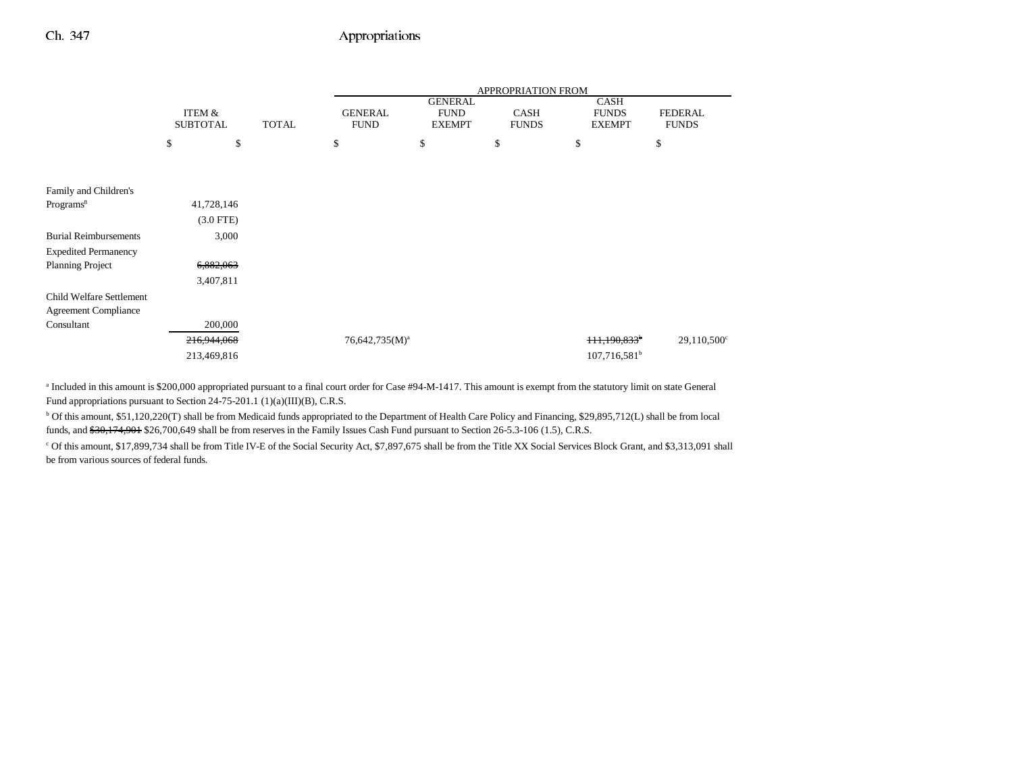|                              |                                      |              | APPROPRIATION FROM            |                                                |                             |                                              |                                |
|------------------------------|--------------------------------------|--------------|-------------------------------|------------------------------------------------|-----------------------------|----------------------------------------------|--------------------------------|
|                              | <b>ITEM &amp;</b><br><b>SUBTOTAL</b> | <b>TOTAL</b> | <b>GENERAL</b><br><b>FUND</b> | <b>GENERAL</b><br><b>FUND</b><br><b>EXEMPT</b> | <b>CASH</b><br><b>FUNDS</b> | <b>CASH</b><br><b>FUNDS</b><br><b>EXEMPT</b> | <b>FEDERAL</b><br><b>FUNDS</b> |
|                              | \$                                   | \$<br>\$     |                               | \$                                             | \$                          | \$                                           | \$                             |
|                              |                                      |              |                               |                                                |                             |                                              |                                |
| Family and Children's        |                                      |              |                               |                                                |                             |                                              |                                |
| Programs <sup>8</sup>        | 41,728,146                           |              |                               |                                                |                             |                                              |                                |
|                              | $(3.0$ FTE)                          |              |                               |                                                |                             |                                              |                                |
| <b>Burial Reimbursements</b> | 3,000                                |              |                               |                                                |                             |                                              |                                |
| <b>Expedited Permanency</b>  |                                      |              |                               |                                                |                             |                                              |                                |
| <b>Planning Project</b>      | 6,882,063                            |              |                               |                                                |                             |                                              |                                |
|                              | 3,407,811                            |              |                               |                                                |                             |                                              |                                |
| Child Welfare Settlement     |                                      |              |                               |                                                |                             |                                              |                                |
| <b>Agreement Compliance</b>  |                                      |              |                               |                                                |                             |                                              |                                |
| Consultant                   | 200,000                              |              |                               |                                                |                             |                                              |                                |
|                              | 216,944,068                          |              | $76,642,735(M)^a$             |                                                |                             | 111,190,833 <sup>b</sup>                     | $29,110,500^{\circ}$           |
|                              | 213,469,816                          |              |                               |                                                |                             | $107,716,581^b$                              |                                |

<sup>a</sup> Included in this amount is \$200,000 appropriated pursuant to a final court order for Case #94-M-1417. This amount is exempt from the statutory limit on state General Fund appropriations pursuant to Section 24-75-201.1 (1)(a)(III)(B), C.R.S.

b Of this amount, \$51,120,220(T) shall be from Medicaid funds appropriated to the Department of Health Care Policy and Financing, \$29,895,712(L) shall be from local funds, and  $$30,174,901$$  \$26,700,649 shall be from reserves in the Family Issues Cash Fund pursuant to Section 26-5.3-106 (1.5), C.R.S.

c Of this amount, \$17,899,734 shall be from Title IV-E of the Social Security Act, \$7,897,675 shall be from the Title XX Social Services Block Grant, and \$3,313,091 shall be from various sources of federal funds.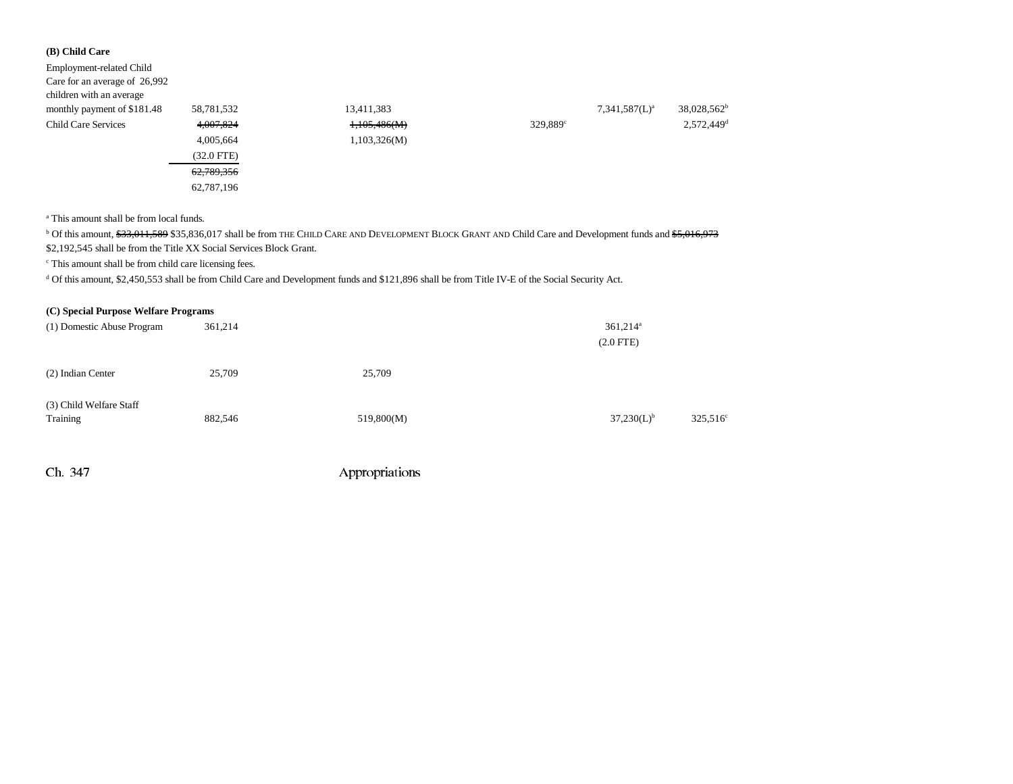### **(B) Child Care**

| Employment-related Child      |                 |              |                        |                  |                         |
|-------------------------------|-----------------|--------------|------------------------|------------------|-------------------------|
| Care for an average of 26,992 |                 |              |                        |                  |                         |
| children with an average      |                 |              |                        |                  |                         |
| monthly payment of \$181.48   | 58,781,532      | 13,411,383   |                        | $7,341,587(L)^a$ | 38,028,562 <sup>b</sup> |
| <b>Child Care Services</b>    | 4,007,824       | 1,105,486(M) | $329,889$ <sup>c</sup> |                  | 2,572,449 <sup>d</sup>  |
|                               | 4,005,664       | 1,103,326(M) |                        |                  |                         |
|                               | $(32.0$ FTE $)$ |              |                        |                  |                         |
|                               | 62,789,356      |              |                        |                  |                         |
|                               | 62,787,196      |              |                        |                  |                         |
|                               |                 |              |                        |                  |                         |

a This amount shall be from local funds.

<sup>b</sup> Of this amount, \$<del>33,011,589</del> \$35,836,017 shall be from THE CHILD CARE AND DEVELOPMENT BLOCK GRANT AND Child Care and Development funds and <del>\$5,016,973</del>

\$2,192,545 shall be from the Title XX Social Services Block Grant.

c This amount shall be from child care licensing fees.

<sup>d</sup> Of this amount, \$2,450,553 shall be from Child Care and Development funds and \$121,896 shall be from Title IV-E of the Social Security Act.

| (C) Special Purpose Welfare Programs |         |            |                                       |                      |
|--------------------------------------|---------|------------|---------------------------------------|----------------------|
| (1) Domestic Abuse Program           | 361,214 |            | $361,214$ <sup>a</sup><br>$(2.0$ FTE) |                      |
| (2) Indian Center                    | 25,709  | 25,709     |                                       |                      |
| (3) Child Welfare Staff<br>Training  | 882,546 | 519,800(M) | $37,230(L)^{b}$                       | 325,516 <sup>c</sup> |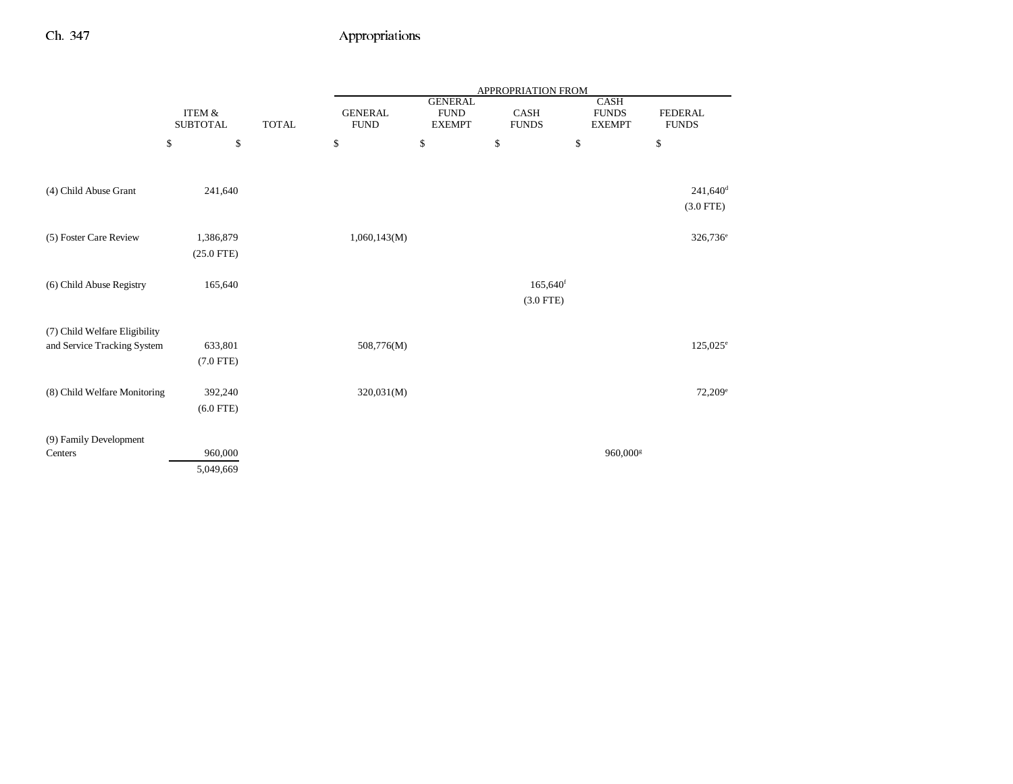|                               |                                      |              |                               |                                                | APPROPRIATION FROM                    |                                       |                                |
|-------------------------------|--------------------------------------|--------------|-------------------------------|------------------------------------------------|---------------------------------------|---------------------------------------|--------------------------------|
|                               | <b>ITEM &amp;</b><br><b>SUBTOTAL</b> | <b>TOTAL</b> | <b>GENERAL</b><br><b>FUND</b> | <b>GENERAL</b><br><b>FUND</b><br><b>EXEMPT</b> | <b>CASH</b><br><b>FUNDS</b>           | CASH<br><b>FUNDS</b><br><b>EXEMPT</b> | <b>FEDERAL</b><br><b>FUNDS</b> |
|                               | \$<br>\$                             |              | \$                            | $\mathbb{S}$                                   | $\mathbb{S}$                          | \$                                    | \$                             |
|                               |                                      |              |                               |                                                |                                       |                                       |                                |
| (4) Child Abuse Grant         | 241,640                              |              |                               |                                                |                                       |                                       | $241,640$ <sup>d</sup>         |
|                               |                                      |              |                               |                                                |                                       |                                       | $(3.0$ FTE)                    |
| (5) Foster Care Review        | 1,386,879                            |              | 1,060,143(M)                  |                                                |                                       |                                       | 326,736 <sup>e</sup>           |
|                               | $(25.0$ FTE)                         |              |                               |                                                |                                       |                                       |                                |
|                               |                                      |              |                               |                                                |                                       |                                       |                                |
| (6) Child Abuse Registry      | 165,640                              |              |                               |                                                | $165,640$ <sup>f</sup><br>$(3.0$ FTE) |                                       |                                |
|                               |                                      |              |                               |                                                |                                       |                                       |                                |
| (7) Child Welfare Eligibility |                                      |              |                               |                                                |                                       |                                       |                                |
| and Service Tracking System   | 633,801                              |              | 508,776(M)                    |                                                |                                       |                                       | $125,025^e$                    |
|                               | $(7.0$ FTE)                          |              |                               |                                                |                                       |                                       |                                |
| (8) Child Welfare Monitoring  | 392,240                              |              | 320,031(M)                    |                                                |                                       |                                       | $72,209^e$                     |
|                               | $(6.0$ FTE)                          |              |                               |                                                |                                       |                                       |                                |
| (9) Family Development        |                                      |              |                               |                                                |                                       |                                       |                                |
| Centers                       | 960,000                              |              |                               |                                                |                                       | 960,000 <sup>s</sup>                  |                                |
|                               | 5,049,669                            |              |                               |                                                |                                       |                                       |                                |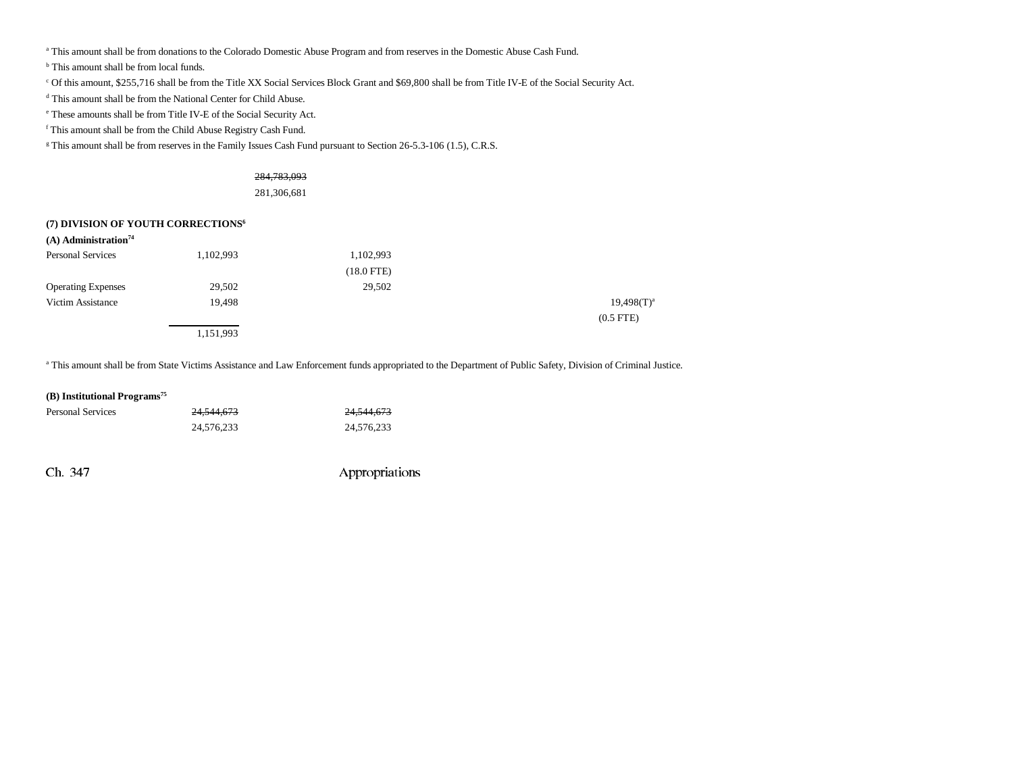a This amount shall be from donations to the Colorado Domestic Abuse Program and from reserves in the Domestic Abuse Cash Fund.

b This amount shall be from local funds.

c Of this amount, \$255,716 shall be from the Title XX Social Services Block Grant and \$69,800 shall be from Title IV-E of the Social Security Act.

d This amount shall be from the National Center for Child Abuse.

e These amounts shall be from Title IV-E of the Social Security Act.

f This amount shall be from the Child Abuse Registry Cash Fund.

<sup>g</sup> This amount shall be from reserves in the Family Issues Cash Fund pursuant to Section 26-5.3-106 (1.5), C.R.S.

### 284,783,093

281,306,681

#### **(7) DIVISION OF YOUTH CORRECTIONS6**

| $(A)$ Administration <sup>74</sup> |           |              |                 |
|------------------------------------|-----------|--------------|-----------------|
| <b>Personal Services</b>           | 1,102,993 | 1,102,993    |                 |
|                                    |           | $(18.0$ FTE) |                 |
| <b>Operating Expenses</b>          | 29,502    | 29,502       |                 |
| Victim Assistance                  | 19,498    |              | $19,498(T)^{a}$ |
|                                    |           |              | $(0.5$ FTE)     |
|                                    | 1,151,993 |              |                 |

a This amount shall be from State Victims Assistance and Law Enforcement funds appropriated to the Department of Public Safety, Division of Criminal Justice.

#### **(B) Institutional Programs75**

| <b>Personal Services</b> | <del>24.544.673</del> | <del>24,544,673</del> |
|--------------------------|-----------------------|-----------------------|
|                          | 24.576.233            | 24.576.233            |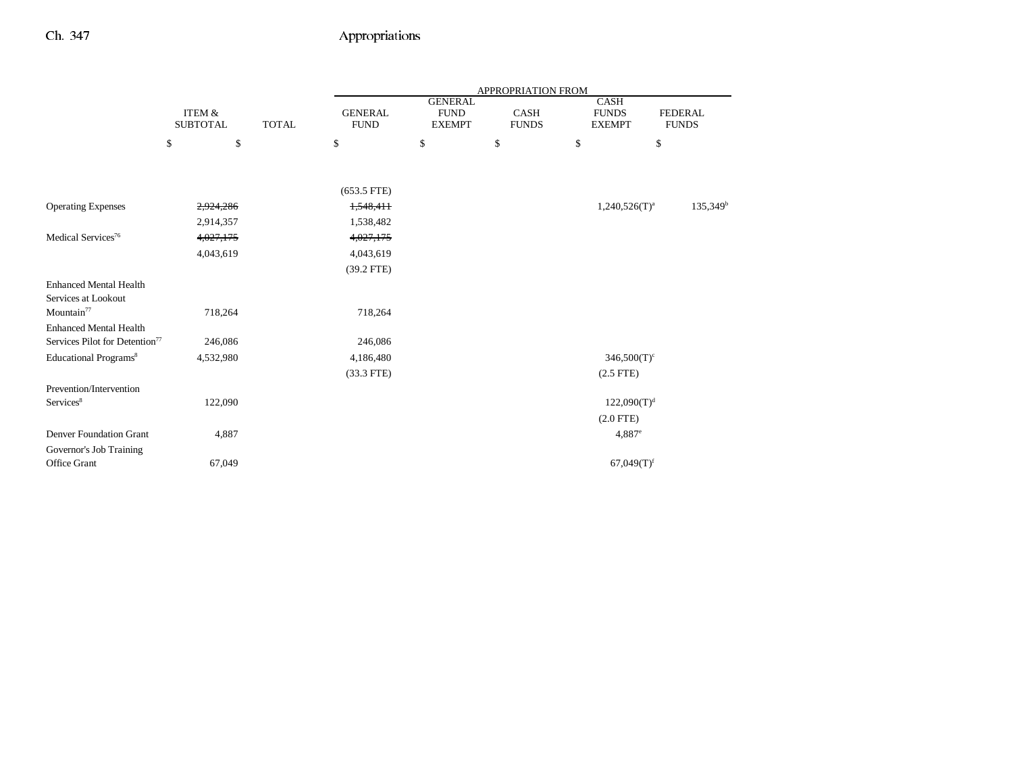|                                            |                                      |              |                               |                                                | APPROPRIATION FROM   |                                       |                                |
|--------------------------------------------|--------------------------------------|--------------|-------------------------------|------------------------------------------------|----------------------|---------------------------------------|--------------------------------|
|                                            | <b>ITEM &amp;</b><br><b>SUBTOTAL</b> | <b>TOTAL</b> | <b>GENERAL</b><br><b>FUND</b> | <b>GENERAL</b><br><b>FUND</b><br><b>EXEMPT</b> | CASH<br><b>FUNDS</b> | CASH<br><b>FUNDS</b><br><b>EXEMPT</b> | <b>FEDERAL</b><br><b>FUNDS</b> |
|                                            | \$<br>\$                             |              | \$                            | \$                                             | \$                   | \$<br>$\mathbb{S}$                    |                                |
|                                            |                                      |              |                               |                                                |                      |                                       |                                |
|                                            |                                      |              | $(653.5$ FTE)                 |                                                |                      |                                       |                                |
| <b>Operating Expenses</b>                  | 2,924,286                            |              | 1,548,411                     |                                                |                      | $1,240,526(T)^a$                      | $135,349^b$                    |
|                                            | 2,914,357                            |              | 1,538,482                     |                                                |                      |                                       |                                |
| Medical Services <sup>76</sup>             | 4,027,175                            |              | 4,027,175                     |                                                |                      |                                       |                                |
|                                            | 4,043,619                            |              | 4,043,619                     |                                                |                      |                                       |                                |
|                                            |                                      |              | $(39.2$ FTE)                  |                                                |                      |                                       |                                |
| <b>Enhanced Mental Health</b>              |                                      |              |                               |                                                |                      |                                       |                                |
| Services at Lookout                        |                                      |              |                               |                                                |                      |                                       |                                |
| Mountain $77$                              | 718,264                              |              | 718,264                       |                                                |                      |                                       |                                |
| <b>Enhanced Mental Health</b>              |                                      |              |                               |                                                |                      |                                       |                                |
| Services Pilot for Detention <sup>77</sup> | 246,086                              |              | 246,086                       |                                                |                      |                                       |                                |
| Educational Programs <sup>8</sup>          | 4,532,980                            |              | 4,186,480                     |                                                |                      | $346,500(T)$ <sup>c</sup>             |                                |
|                                            |                                      |              | $(33.3$ FTE)                  |                                                |                      | $(2.5$ FTE)                           |                                |
| Prevention/Intervention                    |                                      |              |                               |                                                |                      |                                       |                                |
| Services <sup>8</sup>                      | 122,090                              |              |                               |                                                |                      | 122,090(T) <sup>d</sup>               |                                |
|                                            |                                      |              |                               |                                                |                      | $(2.0$ FTE)                           |                                |
| <b>Denver Foundation Grant</b>             | 4,887                                |              |                               |                                                |                      | 4,887e                                |                                |
| Governor's Job Training                    |                                      |              |                               |                                                |                      |                                       |                                |
| Office Grant                               | 67,049                               |              |                               |                                                |                      | $67,049(T)$ <sup>f</sup>              |                                |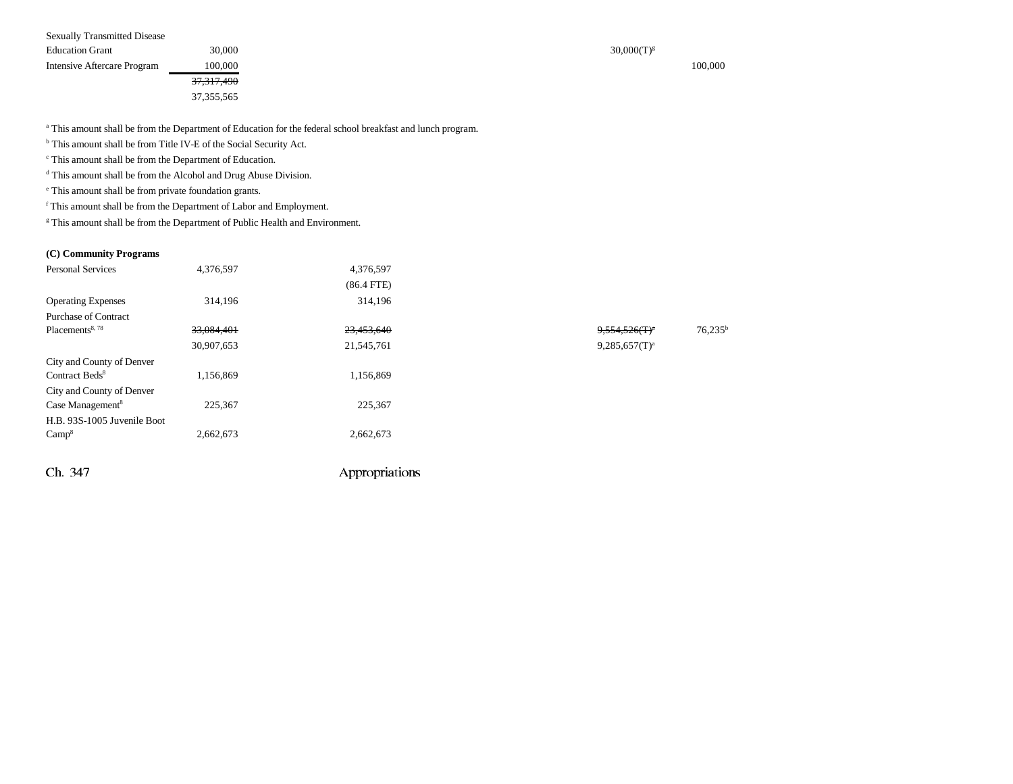| <b>Sexually Transmitted Disease</b> |                       |                 |
|-------------------------------------|-----------------------|-----------------|
| <b>Education Grant</b>              | 30,000                | $30,000(T)^{g}$ |
| Intensive Aftercare Program         | 100,000               | 100.000         |
|                                     | <del>37,317,490</del> |                 |
|                                     | 37, 355, 565          |                 |

<sup>a</sup> This amount shall be from the Department of Education for the federal school breakfast and lunch program.

b This amount shall be from Title IV-E of the Social Security Act.

c This amount shall be from the Department of Education.

d This amount shall be from the Alcohol and Drug Abuse Division.

e This amount shall be from private foundation grants.

f This amount shall be from the Department of Labor and Employment.

<sup>g</sup> This amount shall be from the Department of Public Health and Environment.

Ch. 347 Appropriations

#### **(C) Community Programs**

| <b>Personal Services</b>     | 4,376,597  | 4,376,597    |                  |            |
|------------------------------|------------|--------------|------------------|------------|
|                              |            | $(86.4$ FTE) |                  |            |
| <b>Operating Expenses</b>    | 314,196    | 314,196      |                  |            |
| <b>Purchase of Contract</b>  |            |              |                  |            |
| Placements <sup>8,78</sup>   | 33,084,401 | 23,453,640   | $9,554,526(T)^n$ | $76,235^b$ |
|                              | 30,907,653 | 21,545,761   | $9,285,657(T)^a$ |            |
| City and County of Denver    |            |              |                  |            |
| Contract Beds <sup>8</sup>   | 1,156,869  | 1,156,869    |                  |            |
| City and County of Denver    |            |              |                  |            |
| Case Management <sup>8</sup> | 225,367    | 225,367      |                  |            |
| H.B. 93S-1005 Juvenile Boot  |            |              |                  |            |
| Camp <sup>8</sup>            | 2,662,673  | 2,662,673    |                  |            |
|                              |            |              |                  |            |
|                              |            |              |                  |            |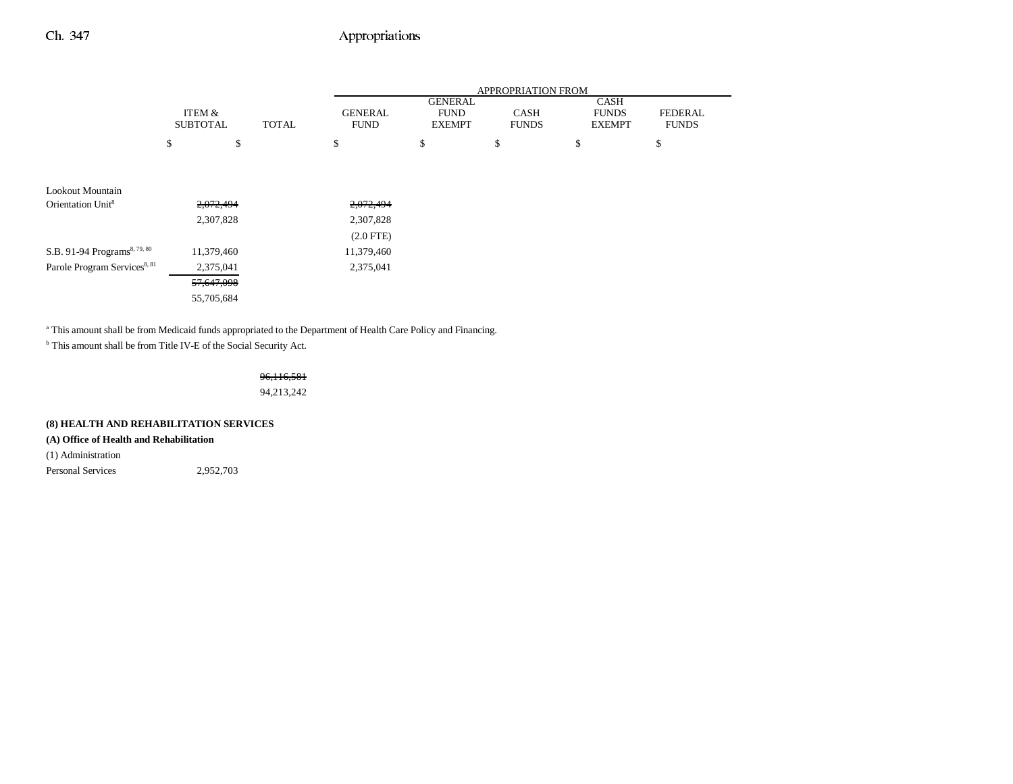|                                          |                           |              | <b>APPROPRIATION FROM</b>     |                                                |                             |                                              |                                |
|------------------------------------------|---------------------------|--------------|-------------------------------|------------------------------------------------|-----------------------------|----------------------------------------------|--------------------------------|
|                                          | ITEM &<br><b>SUBTOTAL</b> | <b>TOTAL</b> | <b>GENERAL</b><br><b>FUND</b> | <b>GENERAL</b><br><b>FUND</b><br><b>EXEMPT</b> | <b>CASH</b><br><b>FUNDS</b> | <b>CASH</b><br><b>FUNDS</b><br><b>EXEMPT</b> | <b>FEDERAL</b><br><b>FUNDS</b> |
|                                          | \$<br>\$                  |              | \$                            | \$                                             | \$                          | \$                                           | \$                             |
|                                          |                           |              |                               |                                                |                             |                                              |                                |
| Lookout Mountain                         |                           |              |                               |                                                |                             |                                              |                                |
| Orientation Unit <sup>8</sup>            | 2,072,494                 |              | 2,072,494                     |                                                |                             |                                              |                                |
|                                          | 2,307,828                 |              | 2,307,828                     |                                                |                             |                                              |                                |
|                                          |                           |              | $(2.0$ FTE $)$                |                                                |                             |                                              |                                |
| S.B. 91-94 Programs <sup>8, 79, 80</sup> | 11,379,460                |              | 11,379,460                    |                                                |                             |                                              |                                |
| Parole Program Services <sup>8, 81</sup> | 2,375,041                 |              | 2,375,041                     |                                                |                             |                                              |                                |
|                                          | 57,647,098                |              |                               |                                                |                             |                                              |                                |
|                                          | 55,705,684                |              |                               |                                                |                             |                                              |                                |
|                                          |                           |              |                               |                                                |                             |                                              |                                |

<sup>a</sup> This amount shall be from Medicaid funds appropriated to the Department of Health Care Policy and Financing.

 $^{\rm b}$  This amount shall be from Title IV-E of the Social Security Act.

## 96,116,581

94,213,242

#### **(8) HEALTH AND REHABILITATION SERVICES**

### **(A) Office of Health and Rehabilitation**

(1) Administration

Personal Services 2,952,703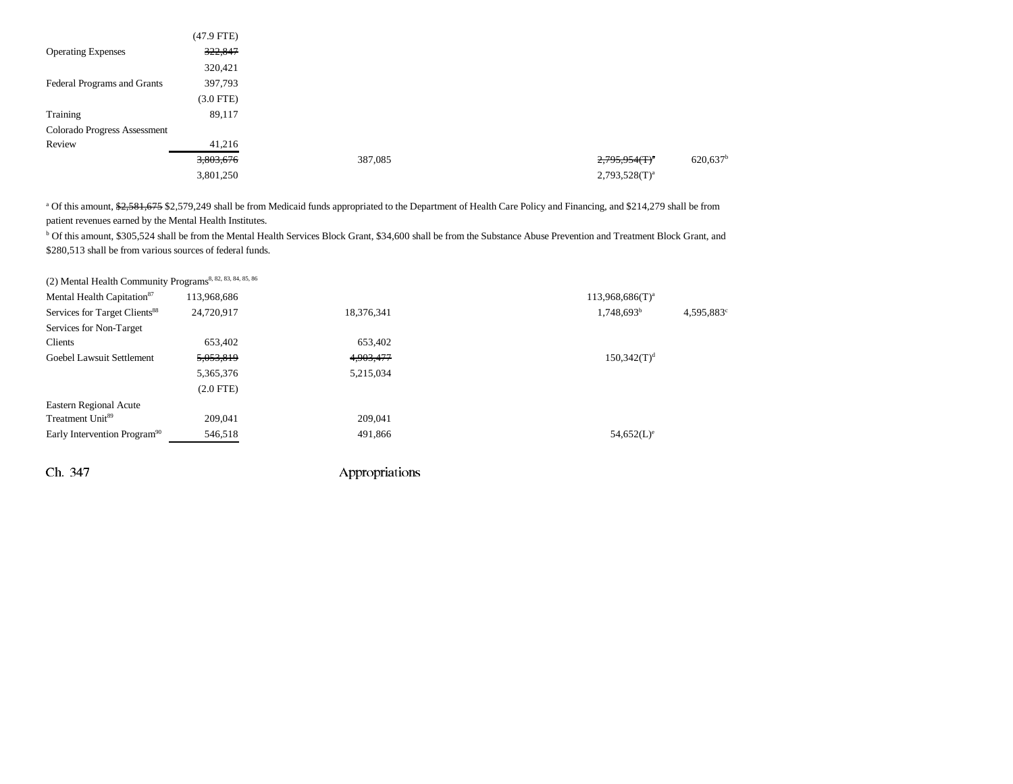|                              | $(47.9$ FTE)   |         |                              |                        |
|------------------------------|----------------|---------|------------------------------|------------------------|
| <b>Operating Expenses</b>    | 322,847        |         |                              |                        |
|                              | 320,421        |         |                              |                        |
| Federal Programs and Grants  | 397,793        |         |                              |                        |
|                              | $(3.0$ FTE $)$ |         |                              |                        |
| Training                     | 89,117         |         |                              |                        |
| Colorado Progress Assessment |                |         |                              |                        |
| Review                       | 41,216         |         |                              |                        |
|                              | 3,803,676      | 387,085 | $2,795,954$ (T) <sup>a</sup> | $620,637$ <sup>b</sup> |
|                              | 3,801,250      |         | $2,793,528(T)^{a}$           |                        |

<sup>a</sup> Of this amount, \$2,581,675 \$2,579,249 shall be from Medicaid funds appropriated to the Department of Health Care Policy and Financing, and \$214,279 shall be from patient revenues earned by the Mental Health Institutes.

b Of this amount, \$305,524 shall be from the Mental Health Services Block Grant, \$34,600 shall be from the Substance Abuse Prevention and Treatment Block Grant, and \$280,513 shall be from various sources of federal funds.

(2) Mental Health Community Programs<sup>8, 82, 83, 84, 85, 86</sup>

| Mental Health Capitation <sup>87</sup>    | 113,968,686    |            | $113,968,686(T)^a$                        |  |
|-------------------------------------------|----------------|------------|-------------------------------------------|--|
| Services for Target Clients <sup>88</sup> | 24,720,917     | 18,376,341 | $1,748,693^b$<br>$4,595,883$ <sup>c</sup> |  |
| Services for Non-Target                   |                |            |                                           |  |
| Clients                                   | 653,402        | 653,402    |                                           |  |
| Goebel Lawsuit Settlement                 | 5,053,819      | 4,903,477  | $150,342(T)^d$                            |  |
|                                           | 5,365,376      | 5,215,034  |                                           |  |
|                                           | $(2.0$ FTE $)$ |            |                                           |  |
| <b>Eastern Regional Acute</b>             |                |            |                                           |  |
| Treatment Unit <sup>89</sup>              | 209,041        | 209,041    |                                           |  |
| Early Intervention Program <sup>90</sup>  | 546,518        | 491,866    | $54,652(L)^e$                             |  |
|                                           |                |            |                                           |  |
|                                           |                |            |                                           |  |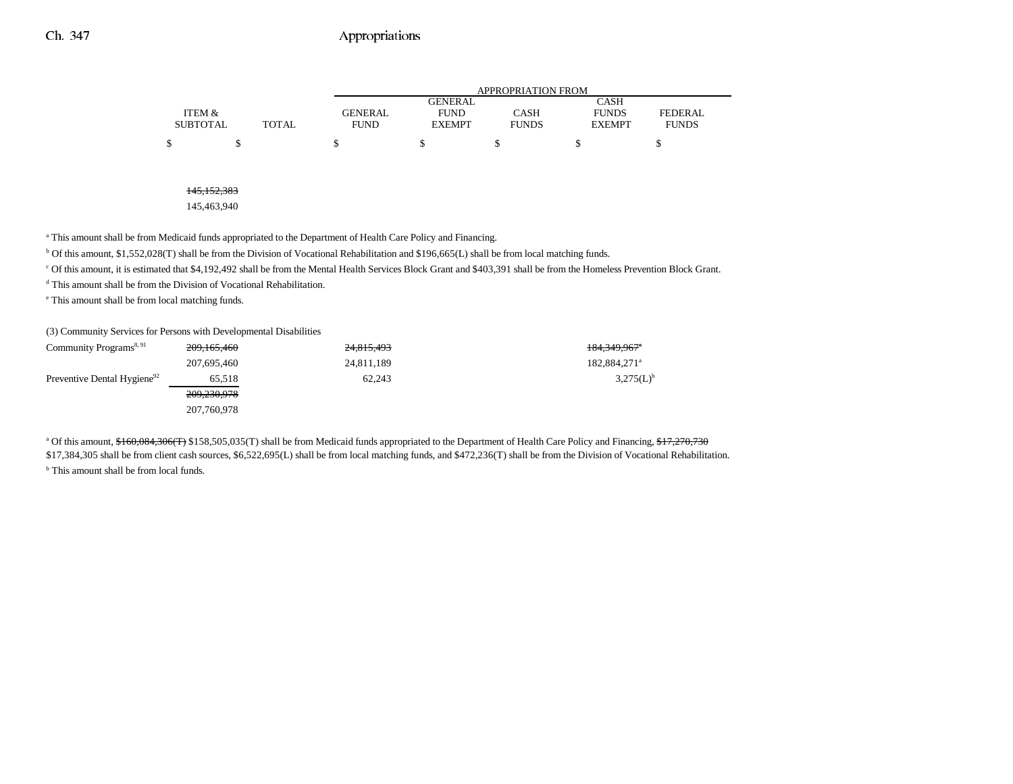|                 |       |             | APPROPRIATION FROM |              |               |              |  |  |  |
|-----------------|-------|-------------|--------------------|--------------|---------------|--------------|--|--|--|
|                 |       |             | GENERAL            |              | CASH          |              |  |  |  |
| ITEM &          |       | GENERAL     | <b>FUND</b>        | CASH         | <b>FUNDS</b>  | FEDERAL      |  |  |  |
| <b>SUBTOTAL</b> | TOTAL | <b>FUND</b> | <b>EXEMPT</b>      | <b>FUNDS</b> | <b>EXEMPT</b> | <b>FUNDS</b> |  |  |  |
| \$              |       |             |                    |              |               |              |  |  |  |

#### 145,152,383

145,463,940

a This amount shall be from Medicaid funds appropriated to the Department of Health Care Policy and Financing.

b Of this amount, \$1,552,028(T) shall be from the Division of Vocational Rehabilitation and \$196,665(L) shall be from local matching funds.

c Of this amount, it is estimated that \$4,192,492 shall be from the Mental Health Services Block Grant and \$403,391 shall be from the Homeless Prevention Block Grant.

d This amount shall be from the Division of Vocational Rehabilitation.

e This amount shall be from local matching funds.

(3) Community Services for Persons with Developmental Disabilities

| Community Programs <sup>8, 91</sup>     | 209, 165, 460 | 24,815,493 | 184,349,967 <sup>a</sup> |
|-----------------------------------------|---------------|------------|--------------------------|
|                                         | 207,695,460   | 24,811,189 | 182,884,271 <sup>a</sup> |
| Preventive Dental Hygiene <sup>92</sup> | 65.518        | 62.243     | $3,275(L)^{b}$           |
|                                         | 209,230,978   |            |                          |
|                                         | 207,760,978   |            |                          |

<sup>a</sup> Of this amount, \$160,084,306(T) \$158,505,035(T) shall be from Medicaid funds appropriated to the Department of Health Care Policy and Financing, \$17,270,730 \$17,384,305 shall be from client cash sources, \$6,522,695(L) shall be from local matching funds, and \$472,236(T) shall be from the Division of Vocational Rehabilitation.

**b** This amount shall be from local funds.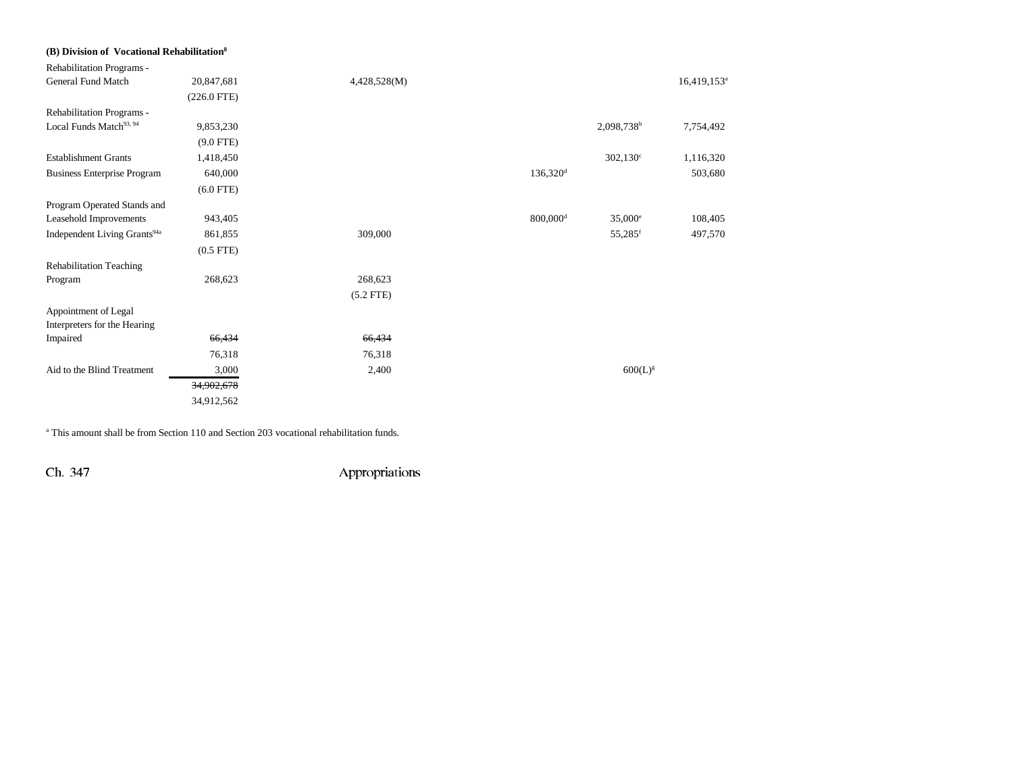| (B) Division of Vocational Rehabilitation <sup>8</sup> |                |              |                        |                        |                           |
|--------------------------------------------------------|----------------|--------------|------------------------|------------------------|---------------------------|
| Rehabilitation Programs -                              |                |              |                        |                        |                           |
| <b>General Fund Match</b>                              | 20,847,681     | 4,428,528(M) |                        |                        | $16,419,153$ <sup>a</sup> |
|                                                        | $(226.0$ FTE)  |              |                        |                        |                           |
| Rehabilitation Programs -                              |                |              |                        |                        |                           |
| Local Funds Match <sup>93, 94</sup>                    | 9,853,230      |              |                        | 2,098,738 <sup>b</sup> | 7,754,492                 |
|                                                        | $(9.0$ FTE)    |              |                        |                        |                           |
| <b>Establishment Grants</b>                            | 1,418,450      |              |                        | $302,130^{\circ}$      | 1,116,320                 |
| <b>Business Enterprise Program</b>                     | 640,000        |              | $136,320$ <sup>d</sup> |                        | 503,680                   |
|                                                        | $(6.0$ FTE)    |              |                        |                        |                           |
| Program Operated Stands and                            |                |              |                        |                        |                           |
| Leasehold Improvements                                 | 943,405        |              | $800,000$ <sup>d</sup> | $35,000^{\circ}$       | 108,405                   |
| Independent Living Grants <sup>94a</sup>               | 861,855        | 309,000      |                        | 55,285 <sup>f</sup>    | 497,570                   |
|                                                        | $(0.5$ FTE $)$ |              |                        |                        |                           |
| <b>Rehabilitation Teaching</b>                         |                |              |                        |                        |                           |
| Program                                                | 268,623        | 268,623      |                        |                        |                           |
|                                                        |                | $(5.2$ FTE)  |                        |                        |                           |
| Appointment of Legal                                   |                |              |                        |                        |                           |
| Interpreters for the Hearing                           |                |              |                        |                        |                           |
| Impaired                                               | 66,434         | 66,434       |                        |                        |                           |
|                                                        | 76,318         | 76,318       |                        |                        |                           |
| Aid to the Blind Treatment                             | 3,000          | 2,400        |                        | 600(L) <sup>g</sup>    |                           |
|                                                        | 34,902,678     |              |                        |                        |                           |
|                                                        | 34,912,562     |              |                        |                        |                           |

a This amount shall be from Section 110 and Section 203 vocational rehabilitation funds.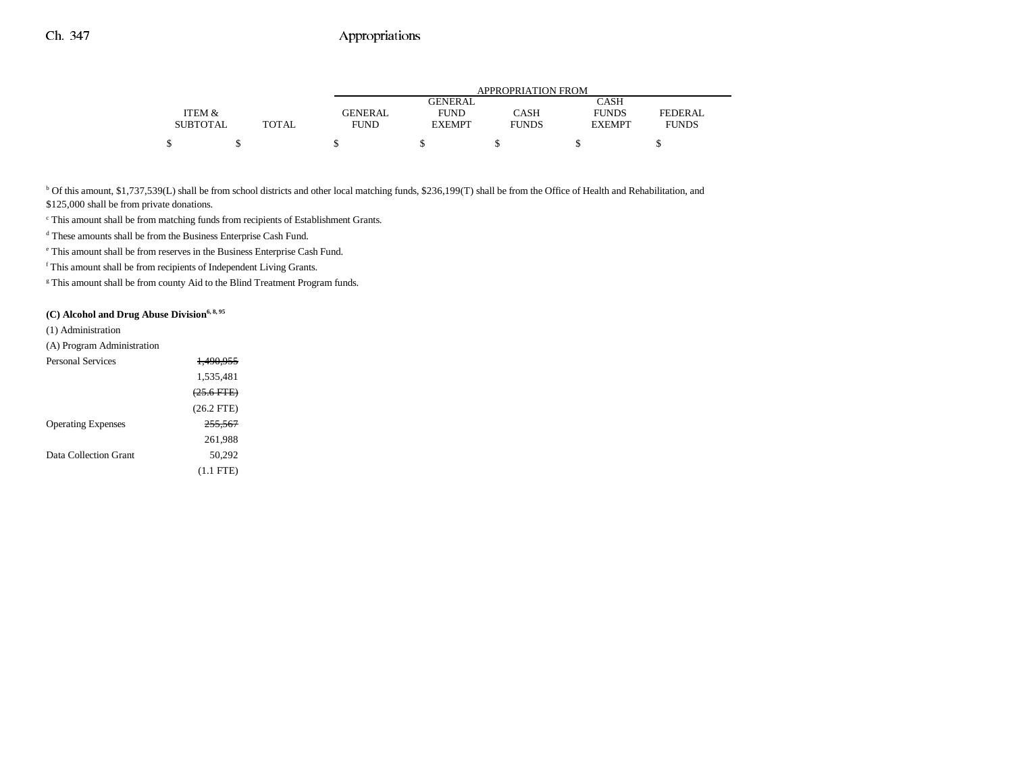|                 |       |                | APPROPRIATION FROM |              |               |              |  |  |  |
|-----------------|-------|----------------|--------------------|--------------|---------------|--------------|--|--|--|
|                 |       |                | <b>GENERAL</b>     |              | CASH          |              |  |  |  |
| ITEM &          |       | <b>GENERAL</b> | <b>FUND</b>        | CASH         | <b>FUNDS</b>  | FEDERAL.     |  |  |  |
| <b>SUBTOTAL</b> | TOTAL | <b>FUND</b>    | <b>EXEMPT</b>      | <b>FUNDS</b> | <b>EXEMPT</b> | <b>FUNDS</b> |  |  |  |
|                 |       |                |                    |              |               |              |  |  |  |

<sup>b</sup> Of this amount, \$1,737,539(L) shall be from school districts and other local matching funds, \$236,199(T) shall be from the Office of Health and Rehabilitation, and

\$125,000 shall be from private donations.

c This amount shall be from matching funds from recipients of Establishment Grants.

d These amounts shall be from the Business Enterprise Cash Fund.

e This amount shall be from reserves in the Business Enterprise Cash Fund.

f This amount shall be from recipients of Independent Living Grants.

<sup>g</sup> This amount shall be from county Aid to the Blind Treatment Program funds.

### (C) Alcohol and Drug Abuse Division<sup>6, 8, 95</sup>

(1) Administration

(A) Program Administration

| <b>Personal Services</b>  | <del>1.490.955</del> |
|---------------------------|----------------------|
|                           | 1,535,481            |
|                           | $(25.6$ FTE)         |
|                           | $(26.2$ FTE)         |
| <b>Operating Expenses</b> | 255.567              |
|                           | 261,988              |
| Data Collection Grant     | 50.292               |
|                           | $(1.1$ FTE)          |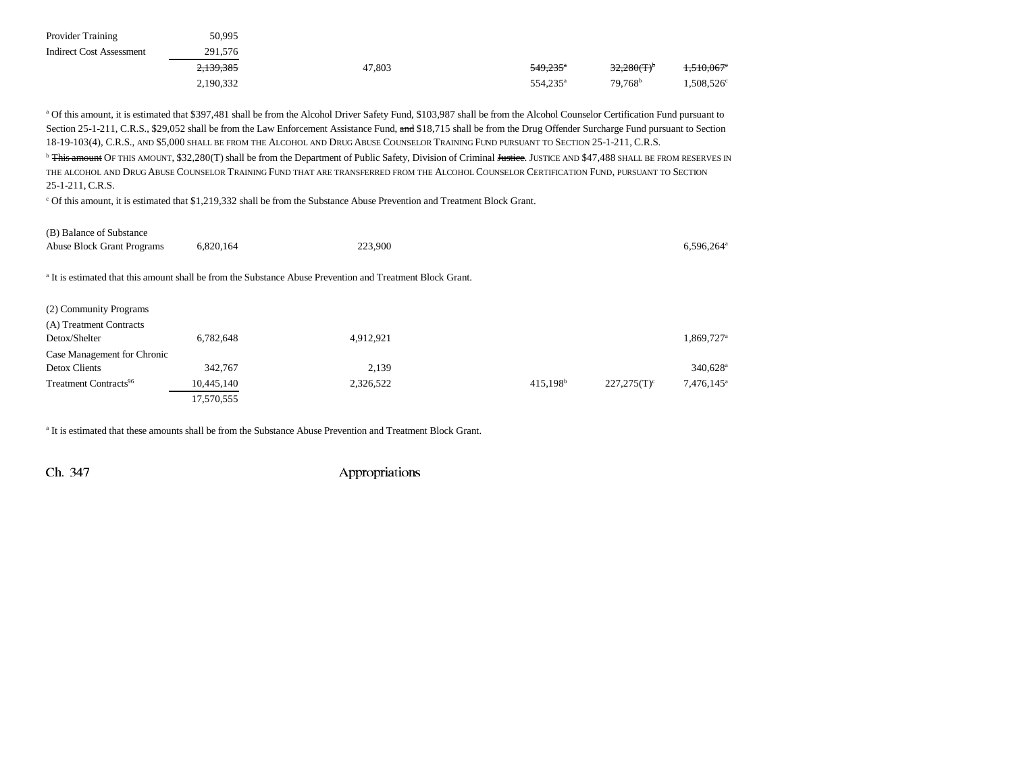| <b>Provider Training</b>        | 50.995    |        |                        |                     |                          |
|---------------------------------|-----------|--------|------------------------|---------------------|--------------------------|
| <b>Indirect Cost Assessment</b> | 291,576   |        |                        |                     |                          |
|                                 | 2,139,385 | 47.803 | $549.235$ <sup>a</sup> | 32,280(T)           | $1,510,067$ <sup>e</sup> |
|                                 | 2,190,332 |        | 554,235 <sup>a</sup>   | 79.768 <sup>b</sup> | $1.508,526^\circ$        |

a Of this amount, it is estimated that \$397,481 shall be from the Alcohol Driver Safety Fund, \$103,987 shall be from the Alcohol Counselor Certification Fund pursuant to Section 25-1-211, C.R.S., \$29,052 shall be from the Law Enforcement Assistance Fund, and \$18,715 shall be from the Drug Offender Surcharge Fund pursuant to Section 18-19-103(4), C.R.S., and \$5,000 shall be from the Alcohol and Drug Abuse Counselor Training Fund pursuant to Section 25-1-211, C.R.S.

<sup>b</sup> <del>This amount</del> OF THIS AMOUNT, \$32,280(T) shall be from the Department of Public Safety, Division of Criminal <del>Justice</del>. JUSTICE AND \$47,488 SHALL BE FROM RESERVES IN the alcohol and Drug Abuse Counselor Training Fund that are transferred from the Alcohol Counselor Certification Fund, pursuant to Section 25-1-211, C.R.S.

c Of this amount, it is estimated that \$1,219,332 shall be from the Substance Abuse Prevention and Treatment Block Grant.

(B) Balance of Substance Abuse Block Grant Programs 6,820,164 223,900 6,596,264<sup>a</sup> 6,596,264<sup>a</sup> a It is estimated that this amount shall be from the Substance Abuse Prevention and Treatment Block Grant. (2) Community Programs (A) Treatment Contracts  $Detox/Shelter$  6,782,648 4,912,921 1,869,727<sup>a</sup> Case Management for Chronic  $\mu$ Detox Clients 340,628<sup>a</sup> 342,767 342,767 342,767 340,628<sup>a</sup> Treatment Contracts<sup>96</sup> 10,445,140 2,326,522 415,198b 227,275(T)<sup>c</sup> 7,476,145<sup>a</sup> 17,570,555

<sup>a</sup> It is estimated that these amounts shall be from the Substance Abuse Prevention and Treatment Block Grant.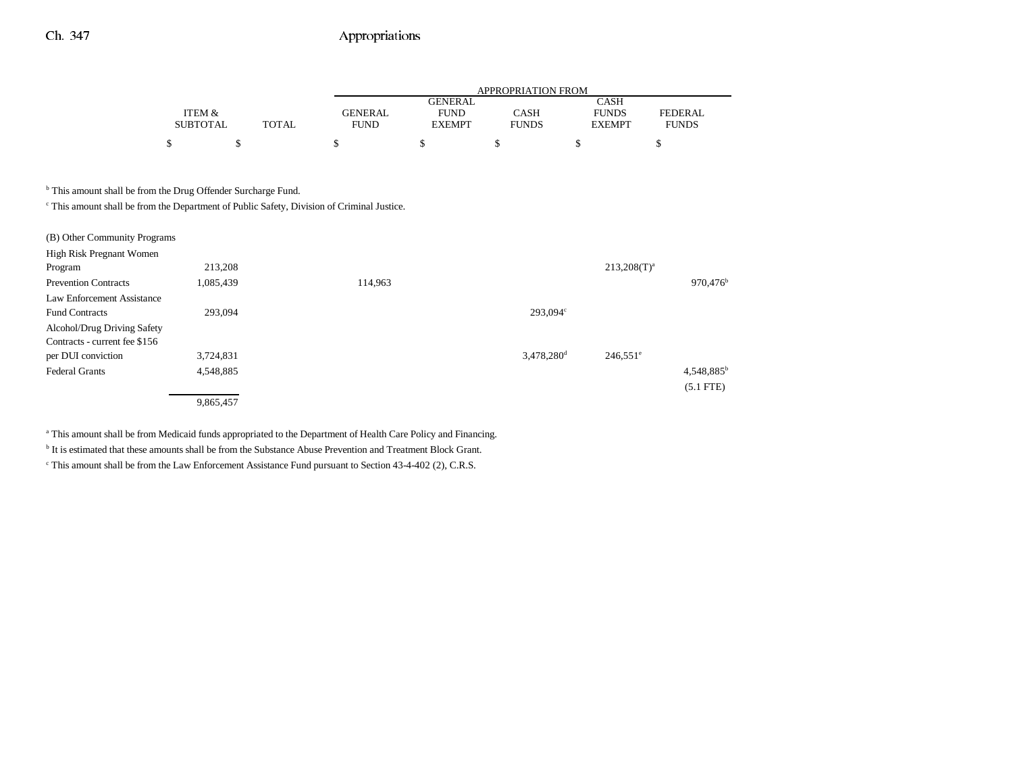|                 |       |             | APPROPRIATION FROM |              |               |                |  |  |  |  |
|-----------------|-------|-------------|--------------------|--------------|---------------|----------------|--|--|--|--|
|                 |       |             | <b>GENERAL</b>     |              | CASH          |                |  |  |  |  |
| ITEM &          |       | GENERAL     | <b>FUND</b>        | CASH         | <b>FUNDS</b>  | <b>FEDERAL</b> |  |  |  |  |
| <b>SUBTOTAL</b> | TOTAL | <b>FUND</b> | <b>EXEMPT</b>      | <b>FUNDS</b> | <b>EXEMPT</b> | <b>FUNDS</b>   |  |  |  |  |
|                 |       |             |                    |              |               |                |  |  |  |  |

**b** This amount shall be from the Drug Offender Surcharge Fund.

c This amount shall be from the Department of Public Safety, Division of Criminal Justice.

| (B) Other Community Programs  |           |         |                          |                        |                        |
|-------------------------------|-----------|---------|--------------------------|------------------------|------------------------|
| High Risk Pregnant Women      |           |         |                          |                        |                        |
| Program                       | 213,208   |         |                          | $213,208(T)^{a}$       |                        |
| <b>Prevention Contracts</b>   | 1,085,439 | 114,963 |                          |                        | $970,476$ <sup>b</sup> |
| Law Enforcement Assistance    |           |         |                          |                        |                        |
| <b>Fund Contracts</b>         | 293,094   |         | 293.094 <sup>c</sup>     |                        |                        |
| Alcohol/Drug Driving Safety   |           |         |                          |                        |                        |
| Contracts - current fee \$156 |           |         |                          |                        |                        |
| per DUI conviction            | 3,724,831 |         | $3,478,280$ <sup>d</sup> | $246,551$ <sup>e</sup> |                        |
| <b>Federal Grants</b>         | 4,548,885 |         |                          |                        | $4,548,885^b$          |
|                               |           |         |                          |                        | $(5.1$ FTE)            |
|                               | 9,865,457 |         |                          |                        |                        |

a This amount shall be from Medicaid funds appropriated to the Department of Health Care Policy and Financing.

b It is estimated that these amounts shall be from the Substance Abuse Prevention and Treatment Block Grant.

c This amount shall be from the Law Enforcement Assistance Fund pursuant to Section 43-4-402 (2), C.R.S.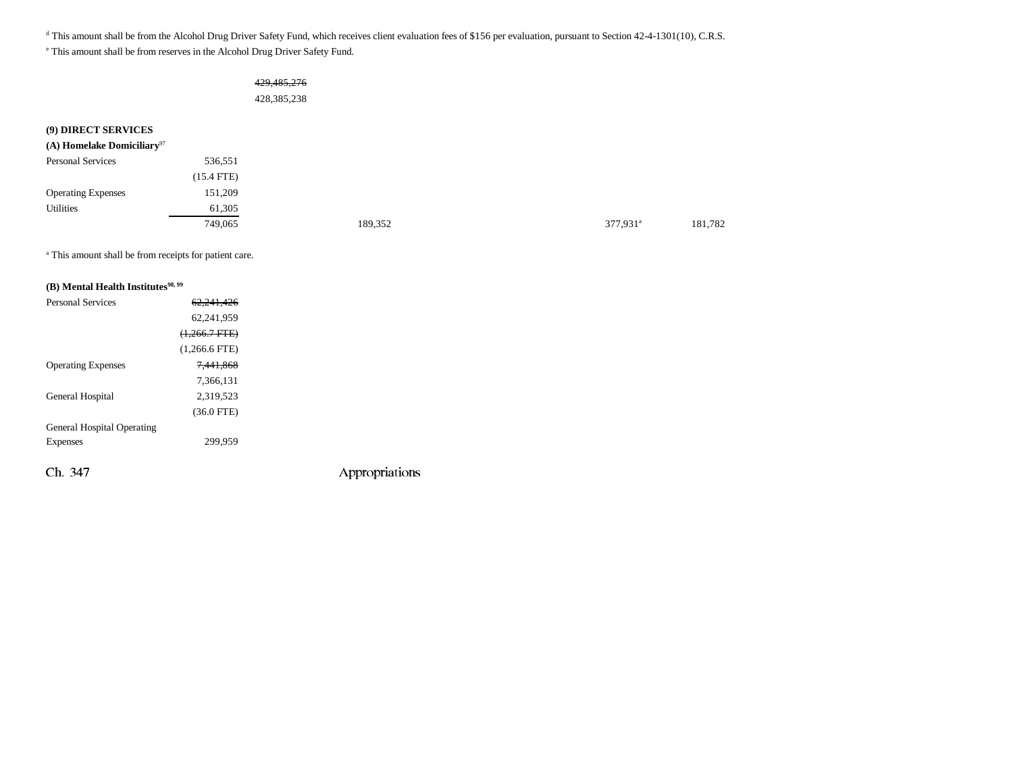<sup>d</sup> This amount shall be from the Alcohol Drug Driver Safety Fund, which receives client evaluation fees of \$156 per evaluation, pursuant to Section 42-4-1301(10), C.R.S.

e This amount shall be from reserves in the Alcohol Drug Driver Safety Fund.

### 429,485,276 428,385,238

**(9) DIRECT SERVICES**

| (A) Homelake Domiciliary <sup>97</sup> |              |         |                      |         |
|----------------------------------------|--------------|---------|----------------------|---------|
| <b>Personal Services</b>               | 536,551      |         |                      |         |
|                                        | $(15.4$ FTE) |         |                      |         |
| <b>Operating Expenses</b>              | 151,209      |         |                      |         |
| Utilities                              | 61,305       |         |                      |         |
|                                        | 749,065      | 189,352 | 377,931 <sup>a</sup> | 181,782 |

<sup>a</sup> This amount shall be from receipts for patient care.

#### **(B)** Mental Health Institutes<sup>98, 99</sup>

| <b>Personal Services</b>          | 62.241.426      |                |
|-----------------------------------|-----------------|----------------|
|                                   | 62,241,959      |                |
|                                   | $(1,266.7$ FTE) |                |
|                                   | $(1,266.6$ FTE) |                |
| <b>Operating Expenses</b>         | 7.441.868       |                |
|                                   | 7,366,131       |                |
| General Hospital                  | 2,319,523       |                |
|                                   | $(36.0$ FTE)    |                |
| <b>General Hospital Operating</b> |                 |                |
| Expenses                          | 299,959         |                |
|                                   |                 |                |
| Ch. 347                           |                 | Appropriations |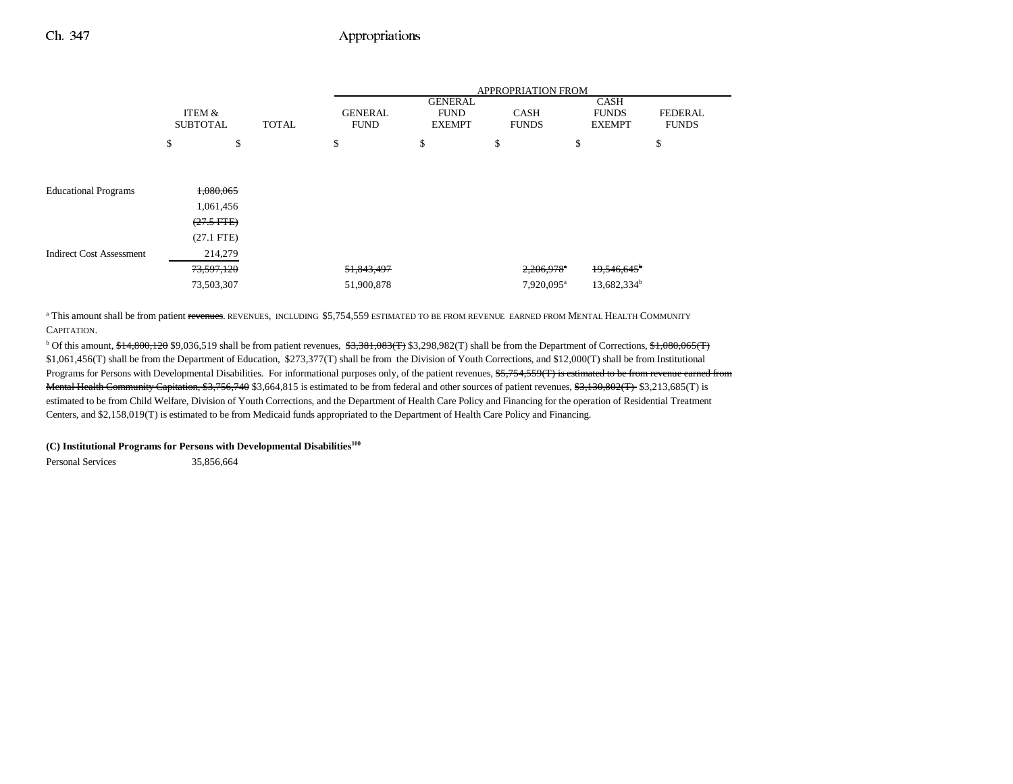|                                 |                           |              |                               |                                                | <b>APPROPRIATION FROM</b>   |                                              |                                |
|---------------------------------|---------------------------|--------------|-------------------------------|------------------------------------------------|-----------------------------|----------------------------------------------|--------------------------------|
|                                 | ITEM &<br><b>SUBTOTAL</b> | <b>TOTAL</b> | <b>GENERAL</b><br><b>FUND</b> | <b>GENERAL</b><br><b>FUND</b><br><b>EXEMPT</b> | <b>CASH</b><br><b>FUNDS</b> | <b>CASH</b><br><b>FUNDS</b><br><b>EXEMPT</b> | <b>FEDERAL</b><br><b>FUNDS</b> |
|                                 | \$                        | \$           | \$                            | \$                                             | \$                          | \$                                           | \$                             |
|                                 |                           |              |                               |                                                |                             |                                              |                                |
| <b>Educational Programs</b>     | 1,080,065                 |              |                               |                                                |                             |                                              |                                |
|                                 | 1,061,456                 |              |                               |                                                |                             |                                              |                                |
|                                 | $(27.5$ FTE)              |              |                               |                                                |                             |                                              |                                |
|                                 | $(27.1$ FTE)              |              |                               |                                                |                             |                                              |                                |
| <b>Indirect Cost Assessment</b> | 214,279                   |              |                               |                                                |                             |                                              |                                |
|                                 | 73,597,120                |              | 51,843,497                    |                                                | $2,206,978$ <sup>a</sup>    | $19,546,645$ <sup>b</sup>                    |                                |
|                                 | 73,503,307                |              | 51,900,878                    |                                                | 7,920,095 <sup>a</sup>      | 13,682,334 <sup>b</sup>                      |                                |

<sup>a</sup> This amount shall be from patient revenues. REVENUES, INCLUDING \$5,754,559 ESTIMATED TO BE FROM REVENUE EARNED FROM MENTAL HEALTH COMMUNITY CAPITATION.

<sup>b</sup> Of this amount, \$14,800,120 \$9,036,519 shall be from patient revenues, \$3,381,083(T) \$3,298,982(T) shall be from the Department of Corrections, \$1,080,065(T) \$1,061,456(T) shall be from the Department of Education, \$273,377(T) shall be from the Division of Youth Corrections, and \$12,000(T) shall be from Institutional Programs for Persons with Developmental Disabilities. For informational purposes only, of the patient revenues, \$5,754,559(T) is estimated to be from revenue earned from Mental Health Community Capitation, \$3,756,740 \$3,664,815 is estimated to be from federal and other sources of patient revenues, \$3,130,802(T) \$3,213,685(T) is estimated to be from Child Welfare, Division of Youth Corrections, and the Department of Health Care Policy and Financing for the operation of Residential Treatment Centers, and \$2,158,019(T) is estimated to be from Medicaid funds appropriated to the Department of Health Care Policy and Financing.

#### **(C) Institutional Programs for Persons with Developmental Disabilities100**

Personal Services 35,856,664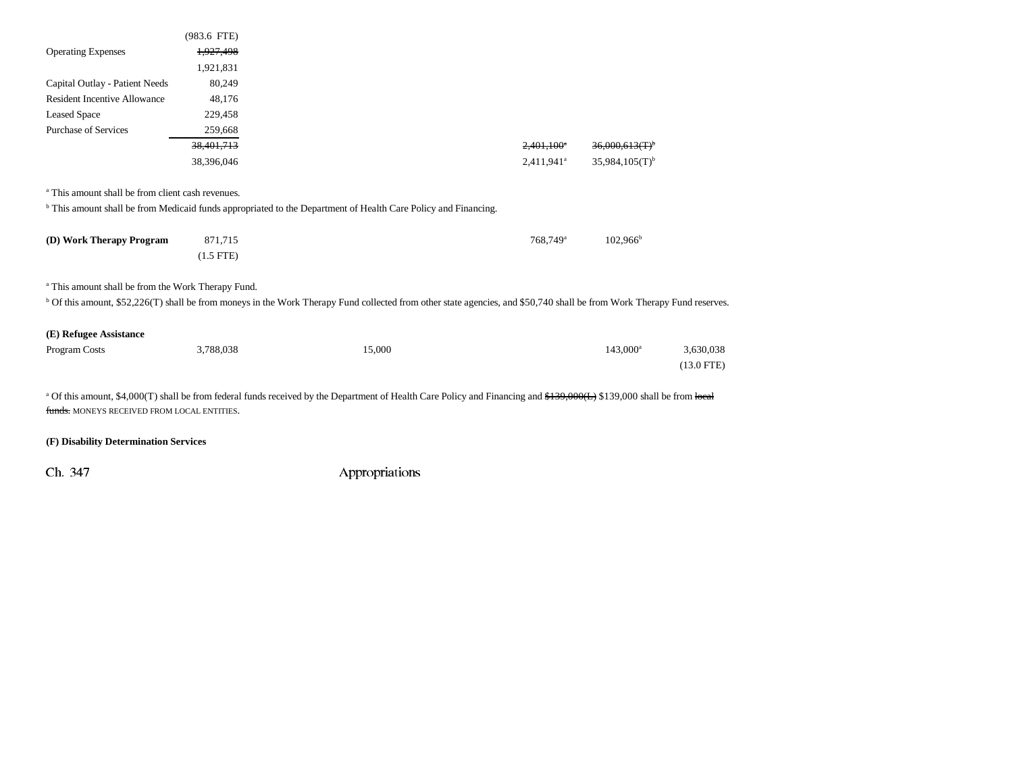|                                                               | $(983.6$ FTE) |                                                                                                                                                                                    |                          |                              |              |
|---------------------------------------------------------------|---------------|------------------------------------------------------------------------------------------------------------------------------------------------------------------------------------|--------------------------|------------------------------|--------------|
| <b>Operating Expenses</b>                                     | 1,927,498     |                                                                                                                                                                                    |                          |                              |              |
|                                                               | 1,921,831     |                                                                                                                                                                                    |                          |                              |              |
| Capital Outlay - Patient Needs                                | 80,249        |                                                                                                                                                                                    |                          |                              |              |
| <b>Resident Incentive Allowance</b>                           | 48,176        |                                                                                                                                                                                    |                          |                              |              |
| <b>Leased Space</b>                                           | 229,458       |                                                                                                                                                                                    |                          |                              |              |
| <b>Purchase of Services</b>                                   | 259,668       |                                                                                                                                                                                    |                          |                              |              |
|                                                               | 38,401,713    |                                                                                                                                                                                    | $2,401,100$ <sup>a</sup> | 36,000,613(T)                |              |
|                                                               | 38,396,046    |                                                                                                                                                                                    | 2,411,941 <sup>a</sup>   | $35,984,105(T)$ <sup>b</sup> |              |
| <sup>a</sup> This amount shall be from client cash revenues.  |               |                                                                                                                                                                                    |                          |                              |              |
|                                                               |               | <sup>b</sup> This amount shall be from Medicaid funds appropriated to the Department of Health Care Policy and Financing.                                                          |                          |                              |              |
| (D) Work Therapy Program                                      | 871,715       |                                                                                                                                                                                    | 768.749 <sup>a</sup>     | $102,966^{\rm b}$            |              |
|                                                               | $(1.5$ FTE)   |                                                                                                                                                                                    |                          |                              |              |
| <sup>a</sup> This amount shall be from the Work Therapy Fund. |               |                                                                                                                                                                                    |                          |                              |              |
|                                                               |               | <sup>b</sup> Of this amount, \$52,226(T) shall be from moneys in the Work Therapy Fund collected from other state agencies, and \$50,740 shall be from Work Therapy Fund reserves  |                          |                              |              |
| (E) Refugee Assistance                                        |               |                                                                                                                                                                                    |                          |                              |              |
| Program Costs                                                 | 3,788,038     | 15,000                                                                                                                                                                             |                          | 143,000 <sup>a</sup>         | 3,630,038    |
|                                                               |               |                                                                                                                                                                                    |                          |                              | $(13.0$ FTE) |
| funds. MONEYS RECEIVED FROM LOCAL ENTITIES.                   |               | <sup>a</sup> Of this amount, \$4,000(T) shall be from federal funds received by the Department of Health Care Policy and Financing and \$139,000 (L) \$139,000 shall be from local |                          |                              |              |
| (F) Disability Determination Services                         |               |                                                                                                                                                                                    |                          |                              |              |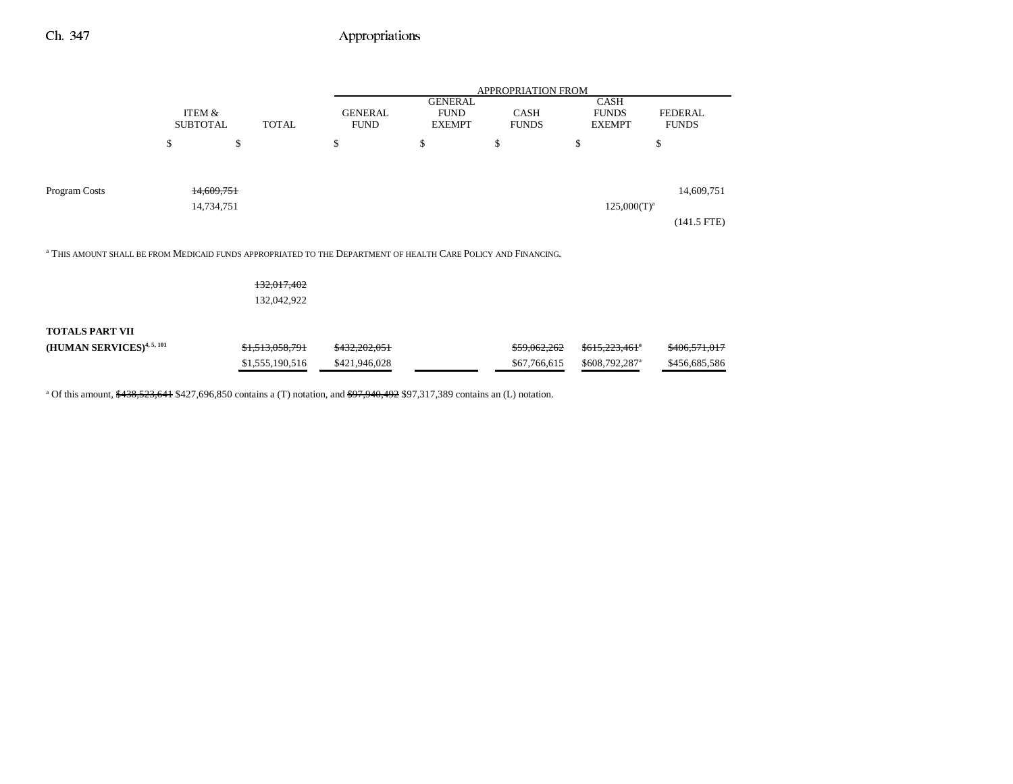|                                                                                                                           |                           |       |                               | <b>APPROPRIATION FROM</b>                      |                             |                                       |                                |  |
|---------------------------------------------------------------------------------------------------------------------------|---------------------------|-------|-------------------------------|------------------------------------------------|-----------------------------|---------------------------------------|--------------------------------|--|
|                                                                                                                           | ITEM &<br><b>SUBTOTAL</b> | TOTAL | <b>GENERAL</b><br><b>FUND</b> | <b>GENERAL</b><br><b>FUND</b><br><b>EXEMPT</b> | <b>CASH</b><br><b>FUNDS</b> | CASH<br><b>FUNDS</b><br><b>EXEMPT</b> | <b>FEDERAL</b><br><b>FUNDS</b> |  |
|                                                                                                                           | \$                        | \$    | \$                            | \$                                             | \$                          | \$                                    | \$                             |  |
| Program Costs                                                                                                             | 14.609.751<br>14,734,751  |       |                               |                                                |                             | $125,000(T)^{a}$                      | 14,609,751<br>$(141.5$ FTE)    |  |
| <sup>a</sup> THIS AMOUNT SHALL BE FROM MEDICAID FUNDS APPROPRIATED TO THE DEPARTMENT OF HEALTH CARE POLICY AND FINANCING. |                           |       |                               |                                                |                             |                                       |                                |  |

132,017,402

132,042,922

#### **TOTALS PART VII**

| (HUMAN SERVICES) <sup>4, 5, 101</sup> | \$1,513,058,791 | <del>\$432.202.051</del> | \$59,062,262 | \$615.223.461"             | <del>\$406.571.017</del> |
|---------------------------------------|-----------------|--------------------------|--------------|----------------------------|--------------------------|
|                                       | \$1,555,190,516 | \$421,946,028            | \$67,766,615 | \$608,792,287 <sup>a</sup> | \$456,685,586            |

<sup>a</sup> Of this amount,  $\frac{438,523,641}{2,696,850}$  contains a (T) notation, and  $\frac{697,940,492}{2,97,317,389}$  contains an (L) notation.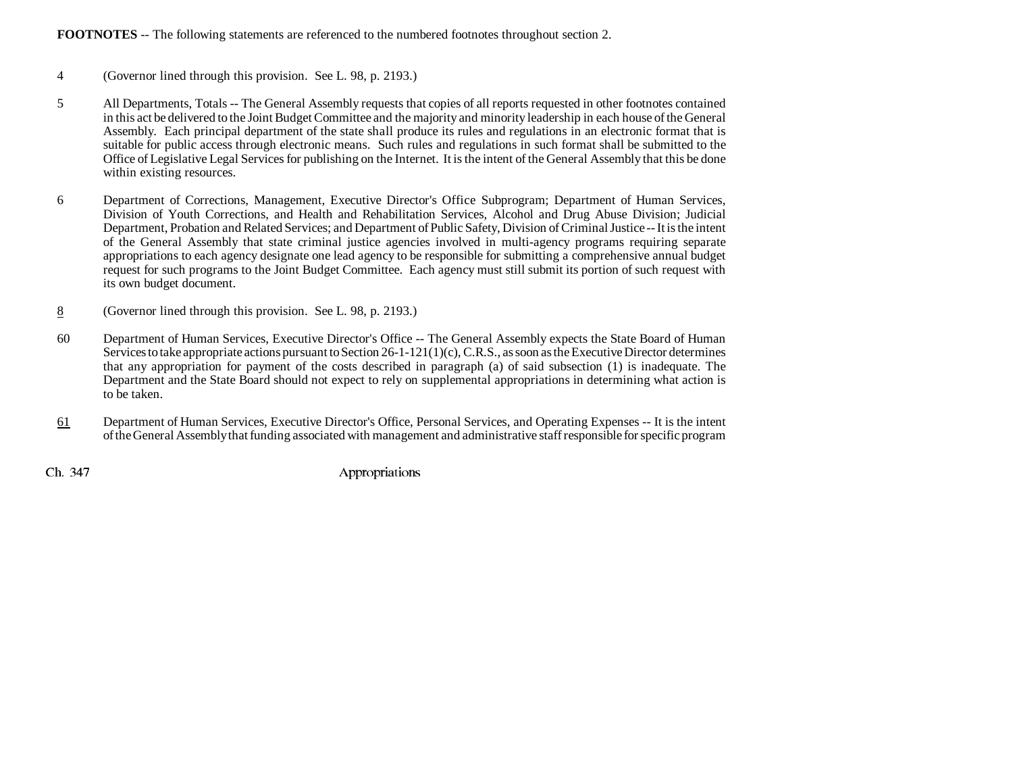### **FOOTNOTES** -- The following statements are referenced to the numbered footnotes throughout section 2.

- 4 (Governor lined through this provision. See L. 98, p. 2193.)
- 5 All Departments, Totals -- The General Assembly requests that copies of all reports requested in other footnotes contained in this act be delivered to the Joint Budget Committee and the majority and minority leadership in each house of the General Assembly. Each principal department of the state shall produce its rules and regulations in an electronic format that is suitable for public access through electronic means. Such rules and regulations in such format shall be submitted to the Office of Legislative Legal Services for publishing on the Internet. It is the intent of the General Assembly that this be done within existing resources.
- 6 Department of Corrections, Management, Executive Director's Office Subprogram; Department of Human Services, Division of Youth Corrections, and Health and Rehabilitation Services, Alcohol and Drug Abuse Division; Judicial Department, Probation and Related Services; and Department of Public Safety, Division of Criminal Justice -- It is the intent of the General Assembly that state criminal justice agencies involved in multi-agency programs requiring separate appropriations to each agency designate one lead agency to be responsible for submitting a comprehensive annual budget request for such programs to the Joint Budget Committee. Each agency must still submit its portion of such request with its own budget document.
- 8(Governor lined through this provision. See L. 98, p. 2193.)
- 60 Department of Human Services, Executive Director's Office -- The General Assembly expects the State Board of Human Services to take appropriate actions pursuant to Section 26-1-121(1)(c), C.R.S., as soon as the Executive Director determines that any appropriation for payment of the costs described in paragraph (a) of said subsection (1) is inadequate. The Department and the State Board should not expect to rely on supplemental appropriations in determining what action is to be taken.
- 61 Department of Human Services, Executive Director's Office, Personal Services, and Operating Expenses -- It is the intent of the General Assembly that funding associated with management and administrative staff responsible for specific program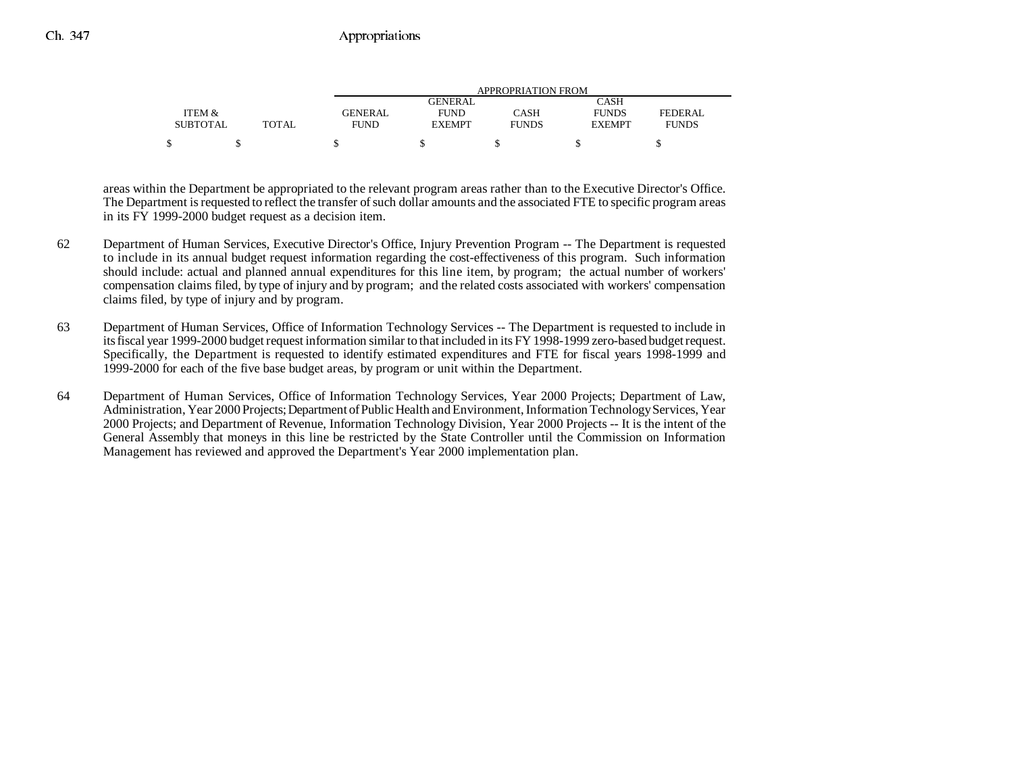|                 |              |                | APPROPRIATION FROM |              |               |                |  |  |  |  |
|-----------------|--------------|----------------|--------------------|--------------|---------------|----------------|--|--|--|--|
|                 |              |                | GENERAL            |              | CASH          |                |  |  |  |  |
| ITEM &          |              | <b>GENERAL</b> | <b>FUND</b>        | CASH         | <b>FUNDS</b>  | <b>FEDERAL</b> |  |  |  |  |
| <b>SUBTOTAL</b> | <b>TOTAL</b> | FUND           | <b>EXEMPT</b>      | <b>FUNDS</b> | <b>EXEMPT</b> | <b>FUNDS</b>   |  |  |  |  |
|                 |              |                |                    |              |               |                |  |  |  |  |

areas within the Department be appropriated to the relevant program areas rather than to the Executive Director's Office. The Department is requested to reflect the transfer of such dollar amounts and the associated FTE to specific program areas in its FY 1999-2000 budget request as a decision item.

- 62 Department of Human Services, Executive Director's Office, Injury Prevention Program -- The Department is requested to include in its annual budget request information regarding the cost-effectiveness of this program. Such information should include: actual and planned annual expenditures for this line item, by program; the actual number of workers' compensation claims filed, by type of injury and by program; and the related costs associated with workers' compensation claims filed, by type of injury and by program.
- 63 Department of Human Services, Office of Information Technology Services -- The Department is requested to include in its fiscal year 1999-2000 budget request information similar to that included in its FY 1998-1999 zero-based budget request. Specifically, the Department is requested to identify estimated expenditures and FTE for fiscal years 1998-1999 and 1999-2000 for each of the five base budget areas, by program or unit within the Department.
- 64 Department of Human Services, Office of Information Technology Services, Year 2000 Projects; Department of Law, Administration, Year 2000 Projects; Department of Public Health and Environment, Information Technology Services, Year 2000 Projects; and Department of Revenue, Information Technology Division, Year 2000 Projects -- It is the intent of the General Assembly that moneys in this line be restricted by the State Controller until the Commission on Information Management has reviewed and approved the Department's Year 2000 implementation plan.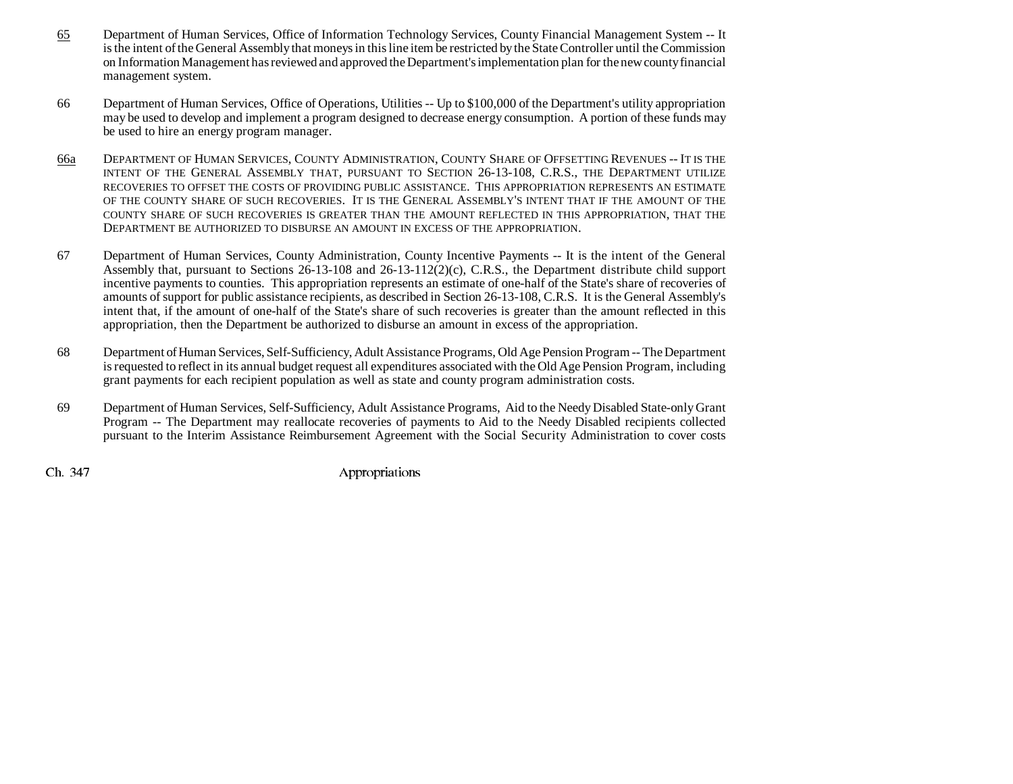- 65 Department of Human Services, Office of Information Technology Services, County Financial Management System -- It is the intent of the General Assembly that moneys in this line item be restricted by the State Controller until the Commission on Information Management has reviewed and approved the Department's implementation plan for the new county financial management system.
- 66 Department of Human Services, Office of Operations, Utilities -- Up to \$100,000 of the Department's utility appropriation may be used to develop and implement a program designed to decrease energy consumption. A portion of these funds may be used to hire an energy program manager.
- 66a DEPARTMENT OF HUMAN SERVICES, COUNTY ADMINISTRATION, COUNTY SHARE OF OFFSETTING REVENUES -- IT IS THE INTENT OF THE GENERAL ASSEMBLY THAT, PURSUANT TO SECTION 26-13-108, C.R.S., THE DEPARTMENT UTILIZE RECOVERIES TO OFFSET THE COSTS OF PROVIDING PUBLIC ASSISTANCE. THIS APPROPRIATION REPRESENTS AN ESTIMATEOF THE COUNTY SHARE OF SUCH RECOVERIES. IT IS THE GENERAL ASSEMBLY'S INTENT THAT IF THE AMOUNT OF THECOUNTY SHARE OF SUCH RECOVERIES IS GREATER THAN THE AMOUNT REFLECTED IN THIS APPROPRIATION, THAT THE DEPARTMENT BE AUTHORIZED TO DISBURSE AN AMOUNT IN EXCESS OF THE APPROPRIATION.
- 67 Department of Human Services, County Administration, County Incentive Payments -- It is the intent of the General Assembly that, pursuant to Sections 26-13-108 and 26-13-112(2)(c), C.R.S., the Department distribute child support incentive payments to counties. This appropriation represents an estimate of one-half of the State's share of recoveries of amounts of support for public assistance recipients, as described in Section 26-13-108, C.R.S. It is the General Assembly's intent that, if the amount of one-half of the State's share of such recoveries is greater than the amount reflected in this appropriation, then the Department be authorized to disburse an amount in excess of the appropriation.
- 68 Department of Human Services, Self-Sufficiency, Adult Assistance Programs, Old Age Pension Program -- The Department is requested to reflect in its annual budget request all expenditures associated with the Old Age Pension Program, including grant payments for each recipient population as well as state and county program administration costs.
- 69 Department of Human Services, Self-Sufficiency, Adult Assistance Programs, Aid to the Needy Disabled State-only Grant Program -- The Department may reallocate recoveries of payments to Aid to the Needy Disabled recipients collected pursuant to the Interim Assistance Reimbursement Agreement with the Social Security Administration to cover costs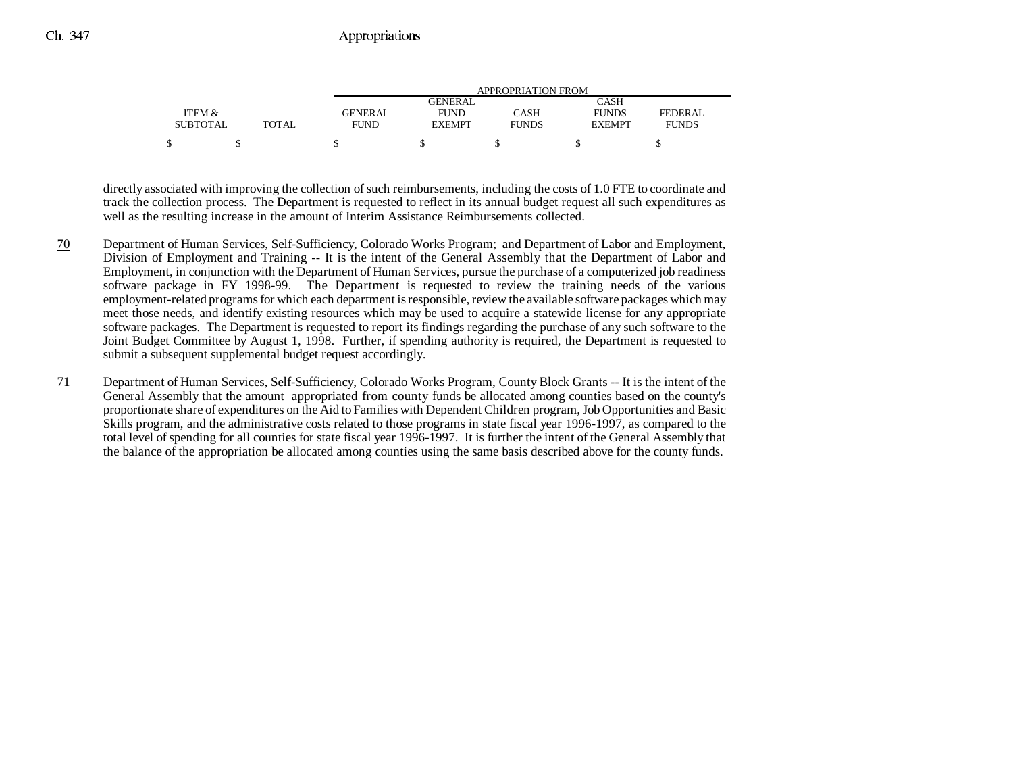|                 |              | APPROPRIATION FROM |               |              |               |              |
|-----------------|--------------|--------------------|---------------|--------------|---------------|--------------|
|                 |              |                    | GENERAL       |              | CASH          |              |
| ITEM &          |              | <b>GENERAL</b>     | <b>FUND</b>   | CASH         | <b>FUNDS</b>  | FEDERAL      |
| <b>SUBTOTAL</b> | <b>TOTAL</b> | FUND               | <b>EXEMPT</b> | <b>FUNDS</b> | <b>EXEMPT</b> | <b>FUNDS</b> |
|                 |              |                    |               |              |               |              |

directly associated with improving the collection of such reimbursements, including the costs of 1.0 FTE to coordinate and track the collection process. The Department is requested to reflect in its annual budget request all such expenditures as well as the resulting increase in the amount of Interim Assistance Reimbursements collected.

- 70 Department of Human Services, Self-Sufficiency, Colorado Works Program; and Department of Labor and Employment, Division of Employment and Training -- It is the intent of the General Assembly that the Department of Labor and Employment, in conjunction with the Department of Human Services, pursue the purchase of a computerized job readiness software package in FY 1998-99. The Department is requested to review the training needs of the various employment-related programs for which each department is responsible, review the available software packages which may meet those needs, and identify existing resources which may be used to acquire a statewide license for any appropriate software packages. The Department is requested to report its findings regarding the purchase of any such software to the Joint Budget Committee by August 1, 1998. Further, if spending authority is required, the Department is requested to submit a subsequent supplemental budget request accordingly.
- 71 Department of Human Services, Self-Sufficiency, Colorado Works Program, County Block Grants -- It is the intent of the General Assembly that the amount appropriated from county funds be allocated among counties based on the county's proportionate share of expenditures on the Aid to Families with Dependent Children program, Job Opportunities and Basic Skills program, and the administrative costs related to those programs in state fiscal year 1996-1997, as compared to the total level of spending for all counties for state fiscal year 1996-1997. It is further the intent of the General Assembly that the balance of the appropriation be allocated among counties using the same basis described above for the county funds.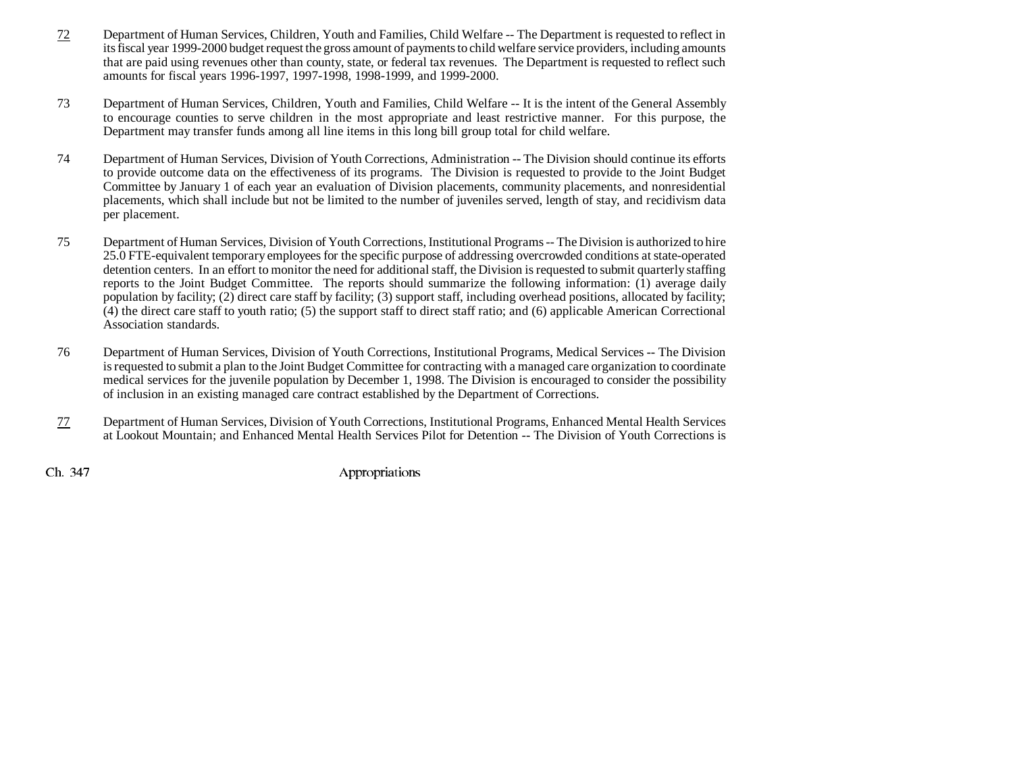- 72 Department of Human Services, Children, Youth and Families, Child Welfare -- The Department is requested to reflect in its fiscal year 1999-2000 budget request the gross amount of payments to child welfare service providers, including amounts that are paid using revenues other than county, state, or federal tax revenues. The Department is requested to reflect such amounts for fiscal years 1996-1997, 1997-1998, 1998-1999, and 1999-2000.
- 73 Department of Human Services, Children, Youth and Families, Child Welfare -- It is the intent of the General Assembly to encourage counties to serve children in the most appropriate and least restrictive manner. For this purpose, the Department may transfer funds among all line items in this long bill group total for child welfare.
- 74 Department of Human Services, Division of Youth Corrections, Administration -- The Division should continue its efforts to provide outcome data on the effectiveness of its programs. The Division is requested to provide to the Joint Budget Committee by January 1 of each year an evaluation of Division placements, community placements, and nonresidential placements, which shall include but not be limited to the number of juveniles served, length of stay, and recidivism data per placement.
- 75 Department of Human Services, Division of Youth Corrections, Institutional Programs -- The Division is authorized to hire 25.0 FTE-equivalent temporary employees for the specific purpose of addressing overcrowded conditions at state-operated detention centers. In an effort to monitor the need for additional staff, the Division is requested to submit quarterly staffing reports to the Joint Budget Committee. The reports should summarize the following information: (1) average daily population by facility; (2) direct care staff by facility; (3) support staff, including overhead positions, allocated by facility; (4) the direct care staff to youth ratio; (5) the support staff to direct staff ratio; and (6) applicable American Correctional Association standards.
- 76 Department of Human Services, Division of Youth Corrections, Institutional Programs, Medical Services -- The Division is requested to submit a plan to the Joint Budget Committee for contracting with a managed care organization to coordinate medical services for the juvenile population by December 1, 1998. The Division is encouraged to consider the possibility of inclusion in an existing managed care contract established by the Department of Corrections.
- 77 Department of Human Services, Division of Youth Corrections, Institutional Programs, Enhanced Mental Health Services at Lookout Mountain; and Enhanced Mental Health Services Pilot for Detention -- The Division of Youth Corrections is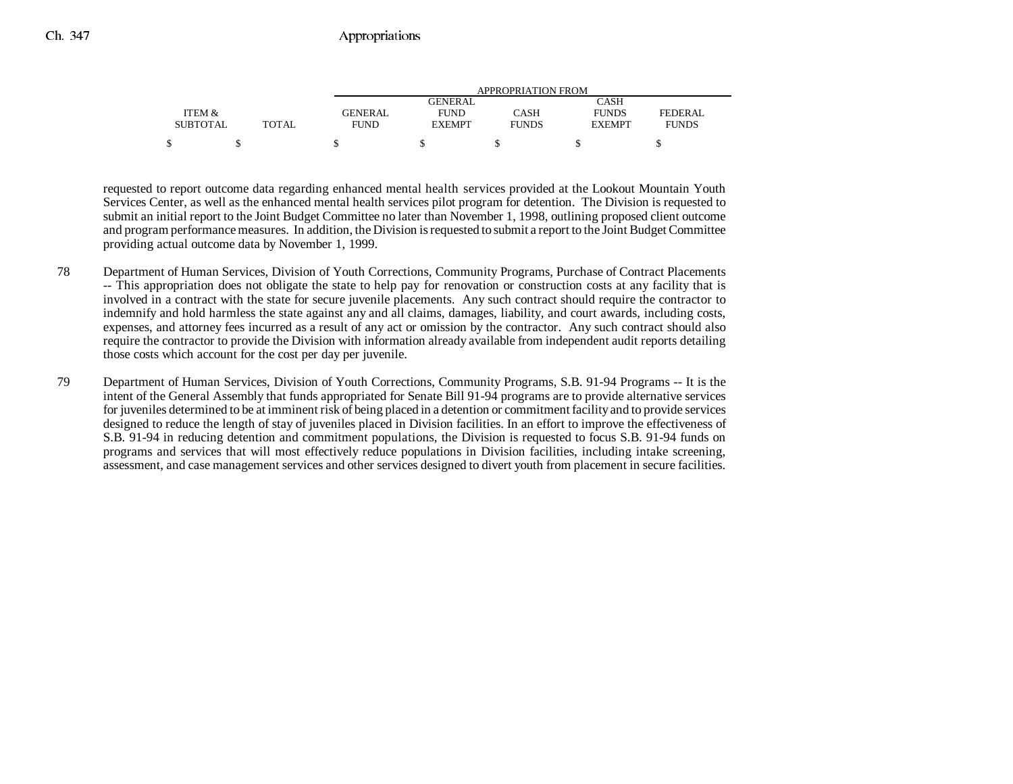|                 |              | APPROPRIATION FROM |               |              |               |              |
|-----------------|--------------|--------------------|---------------|--------------|---------------|--------------|
|                 |              |                    | GENERAL       |              | CASH          |              |
| ITEM &          |              | <b>GENERAL</b>     | <b>FUND</b>   | CASH         | <b>FUNDS</b>  | FEDERAL      |
| <b>SUBTOTAL</b> | <b>TOTAL</b> | FUND               | <b>EXEMPT</b> | <b>FUNDS</b> | <b>EXEMPT</b> | <b>FUNDS</b> |
|                 |              |                    |               |              |               |              |

requested to report outcome data regarding enhanced mental health services provided at the Lookout Mountain Youth Services Center, as well as the enhanced mental health services pilot program for detention. The Division is requested to submit an initial report to the Joint Budget Committee no later than November 1, 1998, outlining proposed client outcome and program performance measures. In addition, the Division is requested to submit a report to the Joint Budget Committee providing actual outcome data by November 1, 1999.

- 78 Department of Human Services, Division of Youth Corrections, Community Programs, Purchase of Contract Placements -- This appropriation does not obligate the state to help pay for renovation or construction costs at any facility that is involved in a contract with the state for secure juvenile placements. Any such contract should require the contractor to indemnify and hold harmless the state against any and all claims, damages, liability, and court awards, including costs, expenses, and attorney fees incurred as a result of any act or omission by the contractor. Any such contract should also require the contractor to provide the Division with information already available from independent audit reports detailing those costs which account for the cost per day per juvenile.
- 79 Department of Human Services, Division of Youth Corrections, Community Programs, S.B. 91-94 Programs -- It is the intent of the General Assembly that funds appropriated for Senate Bill 91-94 programs are to provide alternative services for juveniles determined to be at imminent risk of being placed in a detention or commitment facility and to provide services designed to reduce the length of stay of juveniles placed in Division facilities. In an effort to improve the effectiveness of S.B. 91-94 in reducing detention and commitment populations, the Division is requested to focus S.B. 91-94 funds on programs and services that will most effectively reduce populations in Division facilities, including intake screening, assessment, and case management services and other services designed to divert youth from placement in secure facilities.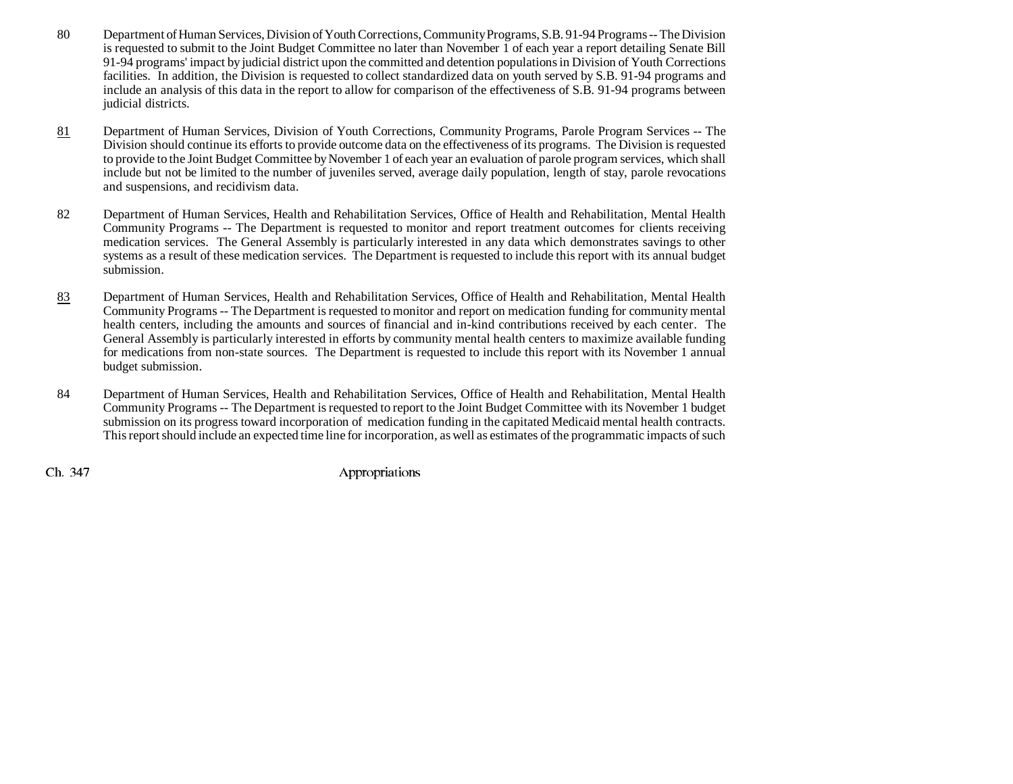- 80 Department of Human Services, Division of Youth Corrections, Community Programs, S.B. 91-94 Programs -- The Division is requested to submit to the Joint Budget Committee no later than November 1 of each year a report detailing Senate Bill 91-94 programs' impact by judicial district upon the committed and detention populations in Division of Youth Corrections facilities. In addition, the Division is requested to collect standardized data on youth served by S.B. 91-94 programs and include an analysis of this data in the report to allow for comparison of the effectiveness of S.B. 91-94 programs between judicial districts.
- 81 Department of Human Services, Division of Youth Corrections, Community Programs, Parole Program Services -- The Division should continue its efforts to provide outcome data on the effectiveness of its programs. The Division is requested to provide to the Joint Budget Committee by November 1 of each year an evaluation of parole program services, which shall include but not be limited to the number of juveniles served, average daily population, length of stay, parole revocations and suspensions, and recidivism data.
- 82 Department of Human Services, Health and Rehabilitation Services, Office of Health and Rehabilitation, Mental Health Community Programs -- The Department is requested to monitor and report treatment outcomes for clients receiving medication services. The General Assembly is particularly interested in any data which demonstrates savings to other systems as a result of these medication services. The Department is requested to include this report with its annual budget submission.
- 83 Department of Human Services, Health and Rehabilitation Services, Office of Health and Rehabilitation, Mental Health Community Programs -- The Department is requested to monitor and report on medication funding for community mental health centers, including the amounts and sources of financial and in-kind contributions received by each center. The General Assembly is particularly interested in efforts by community mental health centers to maximize available funding for medications from non-state sources. The Department is requested to include this report with its November 1 annual budget submission.
- 84 Department of Human Services, Health and Rehabilitation Services, Office of Health and Rehabilitation, Mental Health Community Programs -- The Department is requested to report to the Joint Budget Committee with its November 1 budget submission on its progress toward incorporation of medication funding in the capitated Medicaid mental health contracts. This report should include an expected time line for incorporation, as well as estimates of the programmatic impacts of such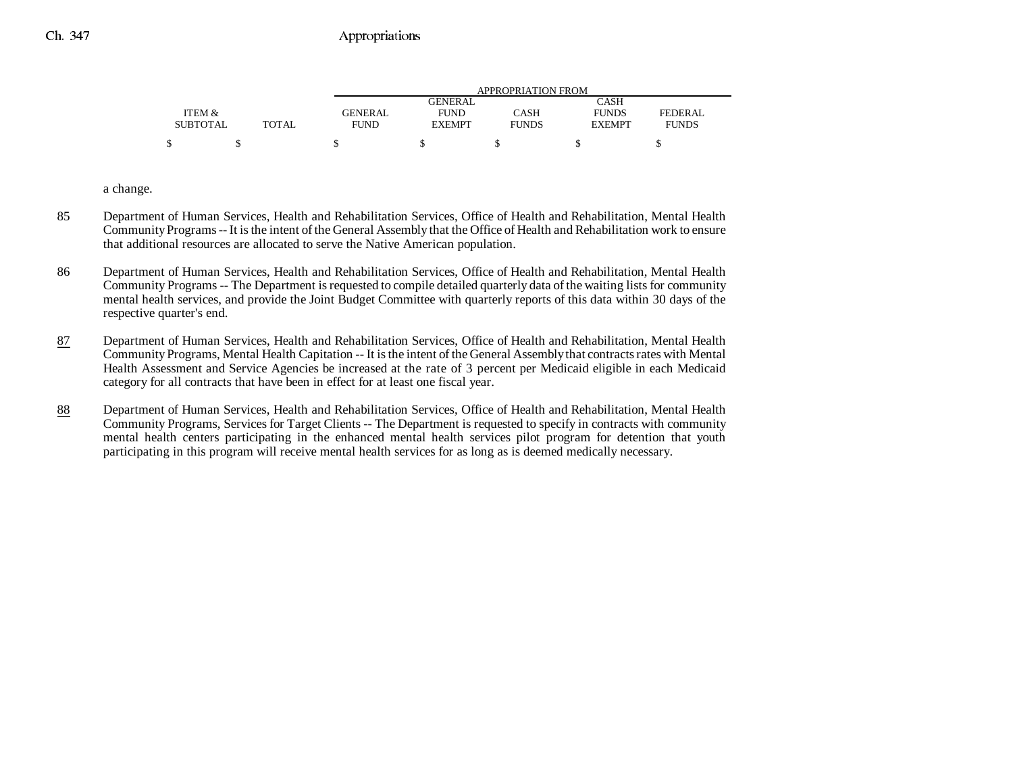|                 |        |             | APPROPRIATION FROM |              |               |              |  |
|-----------------|--------|-------------|--------------------|--------------|---------------|--------------|--|
|                 |        |             | GENERAL            |              | CASH          |              |  |
| ITEM &          |        | GENERAL     | <b>FUND</b>        | CASH         | <b>FUNDS</b>  | FEDERAL      |  |
| <b>SUBTOTAL</b> | TOTAL. | <b>FUND</b> | <b>EXEMPT</b>      | <b>FUNDS</b> | <b>EXEMPT</b> | <b>FUNDS</b> |  |
| \$              |        |             |                    |              |               |              |  |

a change.

- 85 Department of Human Services, Health and Rehabilitation Services, Office of Health and Rehabilitation, Mental Health Community Programs -- It is the intent of the General Assembly that the Office of Health and Rehabilitation work to ensure that additional resources are allocated to serve the Native American population.
- 86 Department of Human Services, Health and Rehabilitation Services, Office of Health and Rehabilitation, Mental Health Community Programs -- The Department is requested to compile detailed quarterly data of the waiting lists for community mental health services, and provide the Joint Budget Committee with quarterly reports of this data within 30 days of the respective quarter's end.
- 87 Department of Human Services, Health and Rehabilitation Services, Office of Health and Rehabilitation, Mental Health Community Programs, Mental Health Capitation -- It is the intent of the General Assembly that contracts rates with Mental Health Assessment and Service Agencies be increased at the rate of 3 percent per Medicaid eligible in each Medicaid category for all contracts that have been in effect for at least one fiscal year.
- 88 Department of Human Services, Health and Rehabilitation Services, Office of Health and Rehabilitation, Mental Health Community Programs, Services for Target Clients -- The Department is requested to specify in contracts with community mental health centers participating in the enhanced mental health services pilot program for detention that youth participating in this program will receive mental health services for as long as is deemed medically necessary.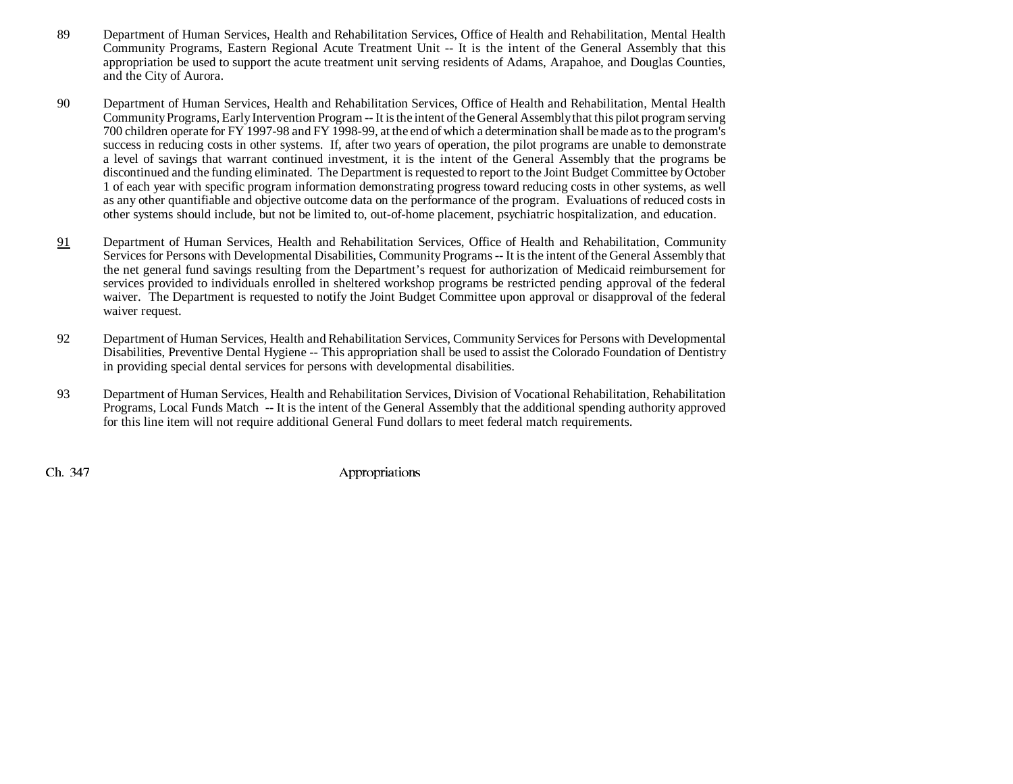- 89 Department of Human Services, Health and Rehabilitation Services, Office of Health and Rehabilitation, Mental Health Community Programs, Eastern Regional Acute Treatment Unit -- It is the intent of the General Assembly that this appropriation be used to support the acute treatment unit serving residents of Adams, Arapahoe, and Douglas Counties, and the City of Aurora.
- 90 Department of Human Services, Health and Rehabilitation Services, Office of Health and Rehabilitation, Mental Health Community Programs, Early Intervention Program -- It is the intent of the General Assembly that this pilot program serving 700 children operate for FY 1997-98 and FY 1998-99, at the end of which a determination shall be made as to the program's success in reducing costs in other systems. If, after two years of operation, the pilot programs are unable to demonstrate a level of savings that warrant continued investment, it is the intent of the General Assembly that the programs be discontinued and the funding eliminated. The Department is requested to report to the Joint Budget Committee by October 1 of each year with specific program information demonstrating progress toward reducing costs in other systems, as well as any other quantifiable and objective outcome data on the performance of the program. Evaluations of reduced costs in other systems should include, but not be limited to, out-of-home placement, psychiatric hospitalization, and education.
- 91 Department of Human Services, Health and Rehabilitation Services, Office of Health and Rehabilitation, Community Services for Persons with Developmental Disabilities, Community Programs -- It is the intent of the General Assembly that the net general fund savings resulting from the Department's request for authorization of Medicaid reimbursement for services provided to individuals enrolled in sheltered workshop programs be restricted pending approval of the federal waiver. The Department is requested to notify the Joint Budget Committee upon approval or disapproval of the federal waiver request.
- 92 Department of Human Services, Health and Rehabilitation Services, Community Services for Persons with Developmental Disabilities, Preventive Dental Hygiene -- This appropriation shall be used to assist the Colorado Foundation of Dentistry in providing special dental services for persons with developmental disabilities.
- 93 Department of Human Services, Health and Rehabilitation Services, Division of Vocational Rehabilitation, Rehabilitation Programs, Local Funds Match -- It is the intent of the General Assembly that the additional spending authority approved for this line item will not require additional General Fund dollars to meet federal match requirements.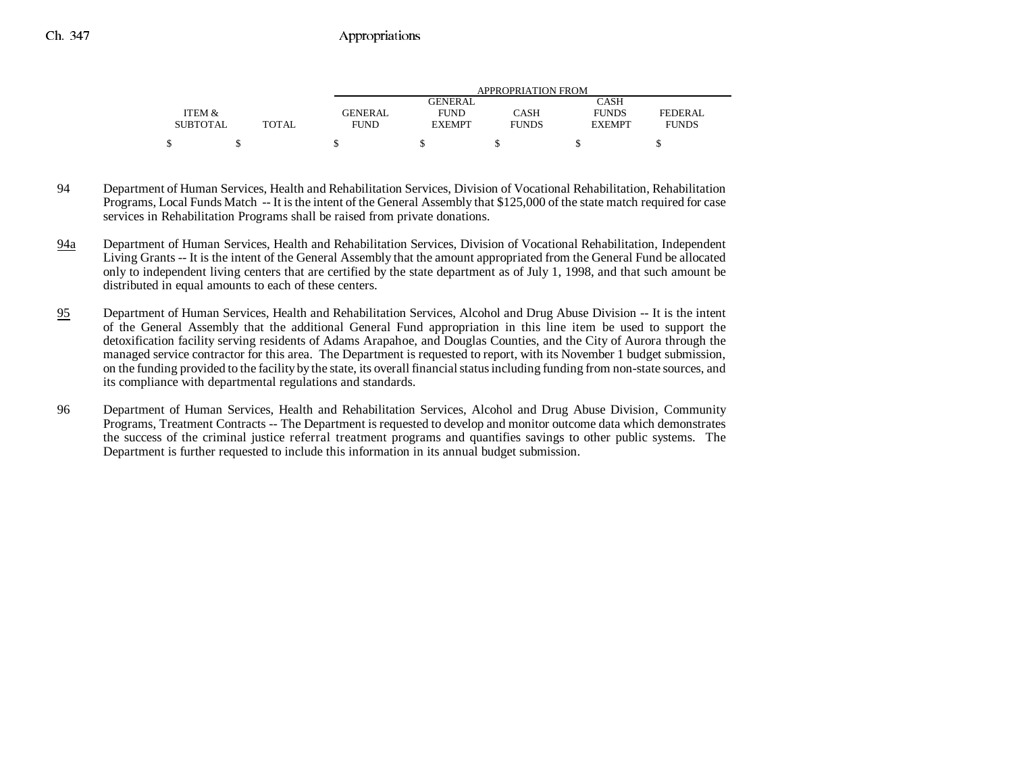|                 |       | APPROPRIATION FROM |                |              |               |              |
|-----------------|-------|--------------------|----------------|--------------|---------------|--------------|
|                 |       |                    | <b>GENERAL</b> |              | CASH          |              |
| ITEM &          |       | <b>GENERAL</b>     | <b>FUND</b>    | CASH         | <b>FUNDS</b>  | FEDERAL      |
| <b>SUBTOTAL</b> | TOTAL | <b>FUND</b>        | <b>EXEMPT</b>  | <b>FUNDS</b> | <b>EXEMPT</b> | <b>FUNDS</b> |
|                 |       |                    |                |              |               |              |

- 94 Department of Human Services, Health and Rehabilitation Services, Division of Vocational Rehabilitation, Rehabilitation Programs, Local Funds Match -- It is the intent of the General Assembly that \$125,000 of the state match required for case services in Rehabilitation Programs shall be raised from private donations.
- 94a Department of Human Services, Health and Rehabilitation Services, Division of Vocational Rehabilitation, Independent Living Grants -- It is the intent of the General Assembly that the amount appropriated from the General Fund be allocated only to independent living centers that are certified by the state department as of July 1, 1998, and that such amount be distributed in equal amounts to each of these centers.
- 95 Department of Human Services, Health and Rehabilitation Services, Alcohol and Drug Abuse Division -- It is the intent of the General Assembly that the additional General Fund appropriation in this line item be used to support the detoxification facility serving residents of Adams Arapahoe, and Douglas Counties, and the City of Aurora through the managed service contractor for this area. The Department is requested to report, with its November 1 budget submission, on the funding provided to the facility by the state, its overall financial status including funding from non-state sources, and its compliance with departmental regulations and standards.
- 96 Department of Human Services, Health and Rehabilitation Services, Alcohol and Drug Abuse Division, Community Programs, Treatment Contracts -- The Department is requested to develop and monitor outcome data which demonstrates the success of the criminal justice referral treatment programs and quantifies savings to other public systems. The Department is further requested to include this information in its annual budget submission.